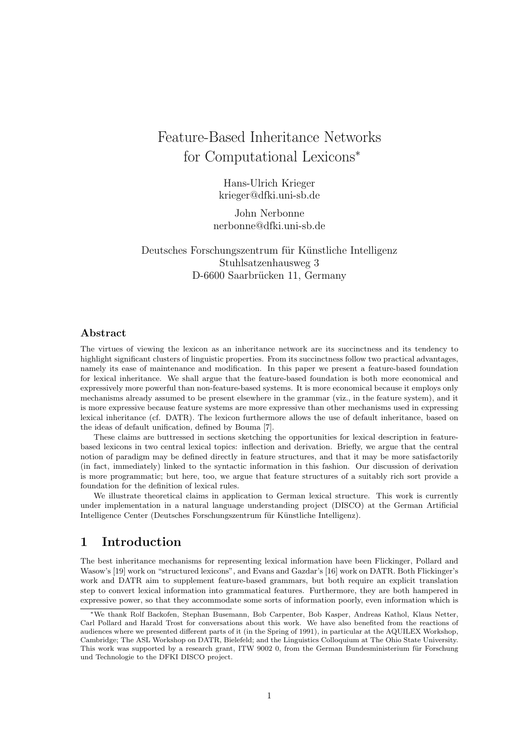# Feature-Based Inheritance Networks for Computational Lexicons<sup>∗</sup>

Hans-Ulrich Krieger krieger@dfki.uni-sb.de

John Nerbonne nerbonne@dfki.uni-sb.de

Deutsches Forschungszentrum für Künstliche Intelligenz Stuhlsatzenhausweg 3 D-6600 Saarbrücken 11, Germany

#### Abstract

The virtues of viewing the lexicon as an inheritance network are its succinctness and its tendency to highlight significant clusters of linguistic properties. From its succinctness follow two practical advantages, namely its ease of maintenance and modification. In this paper we present a feature-based foundation for lexical inheritance. We shall argue that the feature-based foundation is both more economical and expressively more powerful than non-feature-based systems. It is more economical because it employs only mechanisms already assumed to be present elsewhere in the grammar (viz., in the feature system), and it is more expressive because feature systems are more expressive than other mechanisms used in expressing lexical inheritance (cf. DATR). The lexicon furthermore allows the use of default inheritance, based on the ideas of default unification, defined by Bouma [7].

These claims are buttressed in sections sketching the opportunities for lexical description in featurebased lexicons in two central lexical topics: inflection and derivation. Briefly, we argue that the central notion of paradigm may be defined directly in feature structures, and that it may be more satisfactorily (in fact, immediately) linked to the syntactic information in this fashion. Our discussion of derivation is more programmatic; but here, too, we argue that feature structures of a suitably rich sort provide a foundation for the definition of lexical rules.

We illustrate theoretical claims in application to German lexical structure. This work is currently under implementation in a natural language understanding project (DISCO) at the German Artificial Intelligence Center (Deutsches Forschungszentrum für Künstliche Intelligenz).

# 1 Introduction

The best inheritance mechanisms for representing lexical information have been Flickinger, Pollard and Wasow's [19] work on "structured lexicons", and Evans and Gazdar's [16] work on DATR. Both Flickinger's work and DATR aim to supplement feature-based grammars, but both require an explicit translation step to convert lexical information into grammatical features. Furthermore, they are both hampered in expressive power, so that they accommodate some sorts of information poorly, even information which is

<sup>∗</sup>We thank Rolf Backofen, Stephan Busemann, Bob Carpenter, Bob Kasper, Andreas Kathol, Klaus Netter, Carl Pollard and Harald Trost for conversations about this work. We have also benefited from the reactions of audiences where we presented different parts of it (in the Spring of 1991), in particular at the AQUILEX Workshop, Cambridge; The ASL Workshop on DATR, Bielefeld; and the Linguistics Colloquium at The Ohio State University. This work was supported by a research grant, ITW 9002 0, from the German Bundesministerium für Forschung und Technologie to the DFKI DISCO project.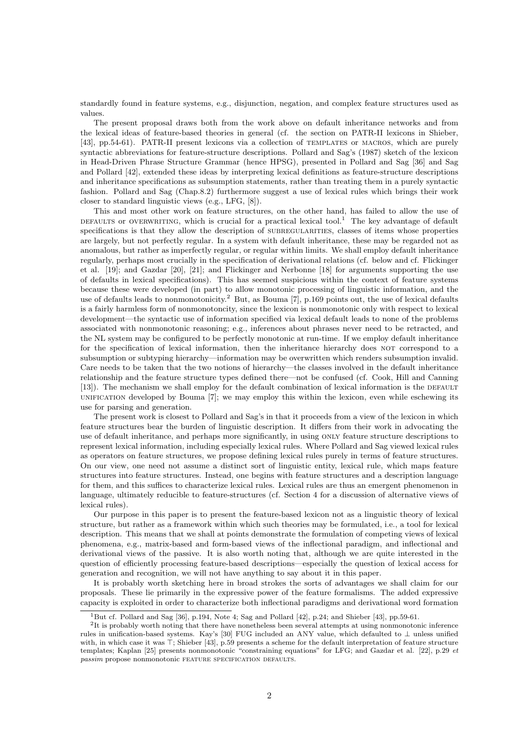standardly found in feature systems, e.g., disjunction, negation, and complex feature structures used as values.

The present proposal draws both from the work above on default inheritance networks and from the lexical ideas of feature-based theories in general (cf. the section on PATR-II lexicons in Shieber, [43], pp.54-61). PATR-II present lexicons via a collection of templates or macros, which are purely syntactic abbreviations for feature-structure descriptions. Pollard and Sag's (1987) sketch of the lexicon in Head-Driven Phrase Structure Grammar (hence HPSG), presented in Pollard and Sag [36] and Sag and Pollard [42], extended these ideas by interpreting lexical definitions as feature-structure descriptions and inheritance specifications as subsumption statements, rather than treating them in a purely syntactic fashion. Pollard and Sag (Chap.8.2) furthermore suggest a use of lexical rules which brings their work closer to standard linguistic views (e.g., LFG, [8]).

This and most other work on feature structures, on the other hand, has failed to allow the use of DEFAULTS or OVERWRITING, which is crucial for a practical lexical tool.<sup>1</sup> The key advantage of default specifications is that they allow the description of SUBREGULARITIES, classes of items whose properties are largely, but not perfectly regular. In a system with default inheritance, these may be regarded not as anomalous, but rather as imperfectly regular, or regular within limits. We shall employ default inheritance regularly, perhaps most crucially in the specification of derivational relations (cf. below and cf. Flickinger et al. [19]; and Gazdar [20], [21]; and Flickinger and Nerbonne [18] for arguments supporting the use of defaults in lexical specifications). This has seemed suspicious within the context of feature systems because these were developed (in part) to allow monotonic processing of linguistic information, and the use of defaults leads to nonmonotonicity.<sup>2</sup> But, as Bouma [7], p.169 points out, the use of lexical defaults is a fairly harmless form of nonmonotoncity, since the lexicon is nonmonotonic only with respect to lexical development—the syntactic use of information specified via lexical default leads to none of the problems associated with nonmonotonic reasoning; e.g., inferences about phrases never need to be retracted, and the NL system may be configured to be perfectly monotonic at run-time. If we employ default inheritance for the specification of lexical information, then the inheritance hierarchy does NOT correspond to a subsumption or subtyping hierarchy—information may be overwritten which renders subsumption invalid. Care needs to be taken that the two notions of hierarchy—the classes involved in the default inheritance relationship and the feature structure types defined there—not be confused (cf. Cook, Hill and Canning [13]). The mechanism we shall employ for the default combination of lexical information is the DEFAULT unification developed by Bouma [7]; we may employ this within the lexicon, even while eschewing its use for parsing and generation.

The present work is closest to Pollard and Sag's in that it proceeds from a view of the lexicon in which feature structures bear the burden of linguistic description. It differs from their work in advocating the use of default inheritance, and perhaps more significantly, in using ONLY feature structure descriptions to represent lexical information, including especially lexical rules. Where Pollard and Sag viewed lexical rules as operators on feature structures, we propose defining lexical rules purely in terms of feature structures. On our view, one need not assume a distinct sort of linguistic entity, lexical rule, which maps feature structures into feature structures. Instead, one begins with feature structures and a description language for them, and this suffices to characterize lexical rules. Lexical rules are thus an emergent phenomenon in language, ultimately reducible to feature-structures (cf. Section 4 for a discussion of alternative views of lexical rules).

Our purpose in this paper is to present the feature-based lexicon not as a linguistic theory of lexical structure, but rather as a framework within which such theories may be formulated, i.e., a tool for lexical description. This means that we shall at points demonstrate the formulation of competing views of lexical phenomena, e.g., matrix-based and form-based views of the inflectional paradigm, and inflectional and derivational views of the passive. It is also worth noting that, although we are quite interested in the question of efficiently processing feature-based descriptions—especially the question of lexical access for generation and recognition, we will not have anything to say about it in this paper.

It is probably worth sketching here in broad strokes the sorts of advantages we shall claim for our proposals. These lie primarily in the expressive power of the feature formalisms. The added expressive capacity is exploited in order to characterize both inflectional paradigms and derivational word formation

<sup>&</sup>lt;sup>1</sup>But cf. Pollard and Sag [36], p.194, Note 4; Sag and Pollard  $[42]$ , p.24; and Shieber [43], pp.59-61.

<sup>2</sup> It is probably worth noting that there have nonetheless been several attempts at using nonmonotonic inference rules in unification-based systems. Kay's [30] FUG included an ANY value, which defaulted to ⊥ unless unified with, in which case it was  $\top$ ; Shieber [43], p.59 presents a scheme for the default interpretation of feature structure templates; Kaplan [25] presents nonmonotonic "constraining equations" for LFG; and Gazdar et al. [22], p.29 et passim propose nonmonotonic FEATURE SPECIFICATION DEFAULTS.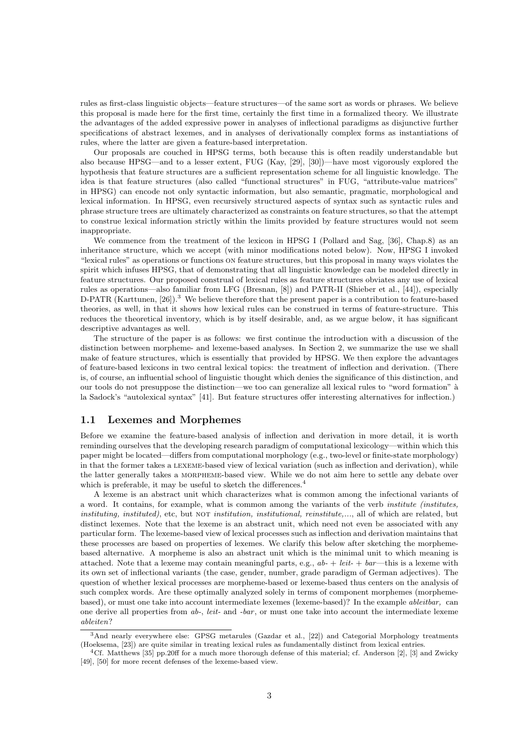rules as first-class linguistic objects—feature structures—of the same sort as words or phrases. We believe this proposal is made here for the first time, certainly the first time in a formalized theory. We illustrate the advantages of the added expressive power in analyses of inflectional paradigms as disjunctive further specifications of abstract lexemes, and in analyses of derivationally complex forms as instantiations of rules, where the latter are given a feature-based interpretation.

Our proposals are couched in HPSG terms, both because this is often readily understandable but also because HPSG—and to a lesser extent, FUG (Kay, [29], [30])—have most vigorously explored the hypothesis that feature structures are a sufficient representation scheme for all linguistic knowledge. The idea is that feature structures (also called "functional structures" in FUG, "attribute-value matrices" in HPSG) can encode not only syntactic information, but also semantic, pragmatic, morphological and lexical information. In HPSG, even recursively structured aspects of syntax such as syntactic rules and phrase structure trees are ultimately characterized as constraints on feature structures, so that the attempt to construe lexical information strictly within the limits provided by feature structures would not seem inappropriate.

We commence from the treatment of the lexicon in HPSG I (Pollard and Sag, [36], Chap.8) as an inheritance structure, which we accept (with minor modifications noted below). Now, HPSG I invoked "lexical rules" as operations or functions on feature structures, but this proposal in many ways violates the spirit which infuses HPSG, that of demonstrating that all linguistic knowledge can be modeled directly in feature structures. Our proposed construal of lexical rules as feature structures obviates any use of lexical rules as operations—also familiar from LFG (Bresnan, [8]) and PATR-II (Shieber et al., [44]), especially D-PATR (Karttunen, [26]).<sup>3</sup> We believe therefore that the present paper is a contribution to feature-based theories, as well, in that it shows how lexical rules can be construed in terms of feature-structure. This reduces the theoretical inventory, which is by itself desirable, and, as we argue below, it has significant descriptive advantages as well.

The structure of the paper is as follows: we first continue the introduction with a discussion of the distinction between morpheme- and lexeme-based analyses. In Section 2, we summarize the use we shall make of feature structures, which is essentially that provided by HPSG. We then explore the advantages of feature-based lexicons in two central lexical topics: the treatment of inflection and derivation. (There is, of course, an influential school of linguistic thought which denies the significance of this distinction, and our tools do not presuppose the distinction—we too can generalize all lexical rules to "word formation" à la Sadock's "autolexical syntax" [41]. But feature structures offer interesting alternatives for inflection.)

#### 1.1 Lexemes and Morphemes

Before we examine the feature-based analysis of inflection and derivation in more detail, it is worth reminding ourselves that the developing research paradigm of computational lexicology—within which this paper might be located—differs from computational morphology (e.g., two-level or finite-state morphology) in that the former takes a lexeme-based view of lexical variation (such as inflection and derivation), while the latter generally takes a morpheme-based view. While we do not aim here to settle any debate over which is preferable, it may be useful to sketch the differences.<sup>4</sup>

A lexeme is an abstract unit which characterizes what is common among the infectional variants of a word. It contains, for example, what is common among the variants of the verb *institute (institutes,* instituting, instituted), etc, but NOT institution, institutional, reinstitute,..., all of which are related, but distinct lexemes. Note that the lexeme is an abstract unit, which need not even be associated with any particular form. The lexeme-based view of lexical processes such as inflection and derivation maintains that these processes are based on properties of lexemes. We clarify this below after sketching the morphemebased alternative. A morpheme is also an abstract unit which is the minimal unit to which meaning is attached. Note that a lexeme may contain meaningful parts, e.g.,  $ab + leit + bar$ —this is a lexeme with its own set of inflectional variants (the case, gender, number, grade paradigm of German adjectives). The question of whether lexical processes are morpheme-based or lexeme-based thus centers on the analysis of such complex words. Are these optimally analyzed solely in terms of component morphemes (morphemebased), or must one take into account intermediate lexemes (lexeme-based)? In the example ableitbar, can one derive all properties from ab-, leit- and -bar, or must one take into account the intermediate lexeme ableiten?

<sup>3</sup>And nearly everywhere else: GPSG metarules (Gazdar et al., [22]) and Categorial Morphology treatments (Hoeksema, [23]) are quite similar in treating lexical rules as fundamentally distinct from lexical entries.

<sup>4</sup>Cf. Matthews [35] pp.20ff for a much more thorough defense of this material; cf. Anderson [2], [3] and Zwicky [49], [50] for more recent defenses of the lexeme-based view.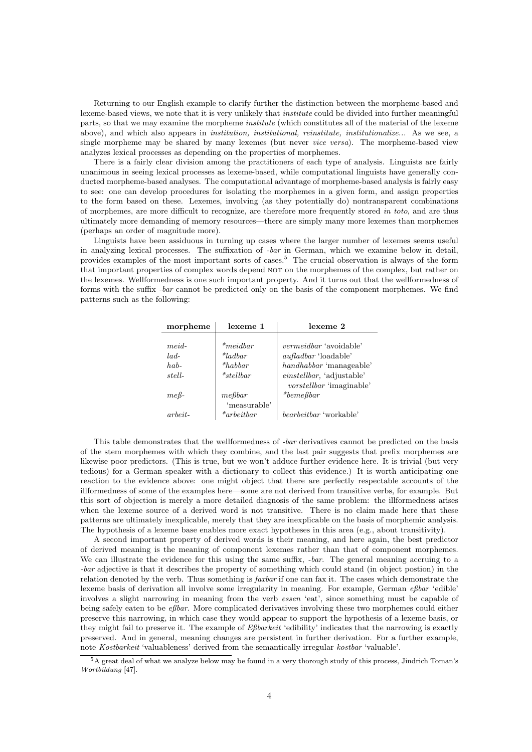Returning to our English example to clarify further the distinction between the morpheme-based and lexeme-based views, we note that it is very unlikely that institute could be divided into further meaningful parts, so that we may examine the morpheme institute (which constitutes all of the material of the lexeme above), and which also appears in institution, institutional, reinstitute, institutionalize... As we see, a single morpheme may be shared by many lexemes (but never vice versa). The morpheme-based view analyzes lexical processes as depending on the properties of morphemes.

There is a fairly clear division among the practitioners of each type of analysis. Linguists are fairly unanimous in seeing lexical processes as lexeme-based, while computational linguists have generally conducted morpheme-based analyses. The computational advantage of morpheme-based analysis is fairly easy to see: one can develop procedures for isolating the morphemes in a given form, and assign properties to the form based on these. Lexemes, involving (as they potentially do) nontransparent combinations of morphemes, are more difficult to recognize, are therefore more frequently stored in toto, and are thus ultimately more demanding of memory resources—there are simply many more lexemes than morphemes (perhaps an order of magnitude more).

Linguists have been assiduous in turning up cases where the larger number of lexemes seems useful in analyzing lexical processes. The suffixation of -bar in German, which we examine below in detail, provides examples of the most important sorts of cases.<sup>5</sup> The crucial observation is always of the form that important properties of complex words depend not on the morphemes of the complex, but rather on the lexemes. Wellformedness is one such important property. And it turns out that the wellformedness of forms with the suffix -bar cannot be predicted only on the basis of the component morphemes. We find patterns such as the following:

| morpheme    | lexeme 1      | lexeme 2                        |
|-------------|---------------|---------------------------------|
|             |               |                                 |
| $meid-$     | $*$ meidbar   | <i>vermeidbar</i> 'avoidable'   |
| $lad -$     | $*ladbar$     | <i>aufladbar</i> 'loadable'     |
| $hab-$      | $*habbar$     | handhabbar 'manageable'         |
| stell-      | $*$ stellbar  | einstellbar, 'adjustable'       |
|             |               | <i>vorstellbar</i> 'imaginable' |
| $me\beta$ - | $me\beta bar$ | $*$ bemeßbar                    |
|             | 'measurable'  |                                 |
| $arbeit-$   | $*arbeitbar$  | bearbeitbar 'workable'          |

This table demonstrates that the wellformedness of *-bar* derivatives cannot be predicted on the basis of the stem morphemes with which they combine, and the last pair suggests that prefix morphemes are likewise poor predictors. (This is true, but we won't adduce further evidence here. It is trivial (but very tedious) for a German speaker with a dictionary to collect this evidence.) It is worth anticipating one reaction to the evidence above: one might object that there are perfectly respectable accounts of the illformedness of some of the examples here—some are not derived from transitive verbs, for example. But this sort of objection is merely a more detailed diagnosis of the same problem: the illformedness arises when the lexeme source of a derived word is not transitive. There is no claim made here that these patterns are ultimately inexplicable, merely that they are inexplicable on the basis of morphemic analysis. The hypothesis of a lexeme base enables more exact hypotheses in this area (e.g., about transitivity).

A second important property of derived words is their meaning, and here again, the best predictor of derived meaning is the meaning of component lexemes rather than that of component morphemes. We can illustrate the evidence for this using the same suffix,  $-bar$ . The general meaning accruing to a -bar adjective is that it describes the property of something which could stand (in object postion) in the relation denoted by the verb. Thus something is *faxbar* if one can fax it. The cases which demonstrate the lexeme basis of derivation all involve some irregularity in meaning. For example, German  $e\beta bar$  'edible' involves a slight narrowing in meaning from the verb essen 'eat', since something must be capable of being safely eaten to be eßbar. More complicated derivatives involving these two morphemes could either preserve this narrowing, in which case they would appear to support the hypothesis of a lexeme basis, or they might fail to preserve it. The example of *Eßbarkeit* 'edibility' indicates that the narrowing is exactly preserved. And in general, meaning changes are persistent in further derivation. For a further example, note Kostbarkeit 'valuableness' derived from the semantically irregular kostbar 'valuable'.

<sup>5</sup>A great deal of what we analyze below may be found in a very thorough study of this process, Jindrich Toman's Wortbildung [47].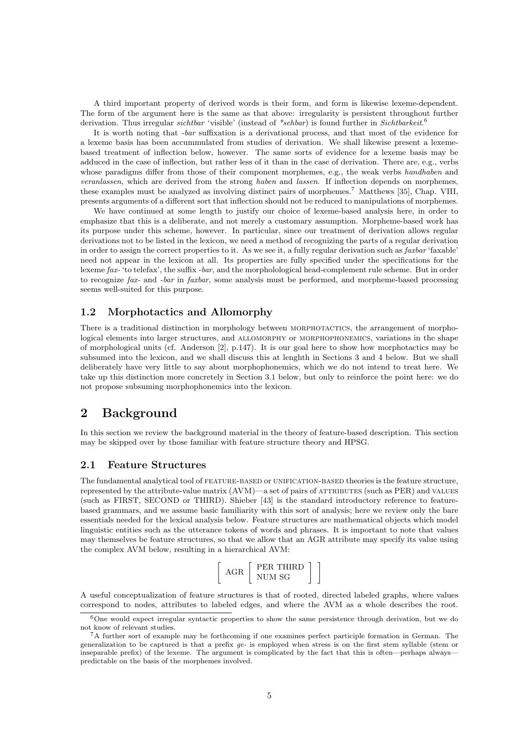A third important property of derived words is their form, and form is likewise lexeme-dependent. The form of the argument here is the same as that above: irregularity is persistent throughout further derivation. Thus irregular *sichtbar* 'visible' (instead of \*sehbar) is found further in Sichtbarkeit.<sup>6</sup>

It is worth noting that -bar suffixation is a derivational process, and that most of the evidence for a lexeme basis has been accummulated from studies of derivation. We shall likewise present a lexemebased treatment of inflection below, however. The same sorts of evidence for a lexeme basis may be adduced in the case of inflection, but rather less of it than in the case of derivation. There are, e.g., verbs whose paradigms differ from those of their component morphemes, e.g., the weak verbs handhaben and veranlassen, which are derived from the strong haben and lassen. If inflection depends on morphemes, these examples must be analyzed as involving distinct pairs of morphemes.<sup>7</sup> Matthews [35], Chap. VIII, presents arguments of a different sort that inflection should not be reduced to manipulations of morphemes.

We have continued at some length to justify our choice of lexeme-based analysis here, in order to emphasize that this is a deliberate, and not merely a customary assumption. Morpheme-based work has its purpose under this scheme, however. In particular, since our treatment of derivation allows regular derivations not to be listed in the lexicon, we need a method of recognizing the parts of a regular derivation in order to assign the correct properties to it. As we see it, a fully regular derivation such as *faxbar* 'faxable' need not appear in the lexicon at all. Its properties are fully specified under the specifications for the lexeme fax- 'to telefax', the suffix -bar, and the morpholological head-complement rule scheme. But in order to recognize fax- and -bar in faxbar, some analysis must be performed, and morpheme-based processing seems well-suited for this purpose.

### 1.2 Morphotactics and Allomorphy

There is a traditional distinction in morphology between MORPHOTACTICS, the arrangement of morphological elements into larger structures, and ALLOMORPHY or MORPHOPHONEMICS, variations in the shape of morphological units (cf. Anderson [2], p.147). It is our goal here to show how morphotactics may be subsumed into the lexicon, and we shall discuss this at lenghth in Sections 3 and 4 below. But we shall deliberately have very little to say about morphophonemics, which we do not intend to treat here. We take up this distinction more concretely in Section 3.1 below, but only to reinforce the point here: we do not propose subsuming morphophonemics into the lexicon.

# 2 Background

In this section we review the background material in the theory of feature-based description. This section may be skipped over by those familiar with feature structure theory and HPSG.

#### 2.1 Feature Structures

The fundamental analytical tool of FEATURE-BASED or UNIFICATION-BASED theories is the feature structure, represented by the attribute-value matrix (AVM)—a set of pairs of attributes (such as PER) and values (such as FIRST, SECOND or THIRD). Shieber [43] is the standard introductory reference to featurebased grammars, and we assume basic familiarity with this sort of analysis; here we review only the bare essentials needed for the lexical analysis below. Feature structures are mathematical objects which model linguistic entities such as the utterance tokens of words and phrases. It is important to note that values may themselves be feature structures, so that we allow that an AGR attribute may specify its value using the complex AVM below, resulting in a hierarchical AVM:

$$
\begin{bmatrix} \begin{array}{c} \text{AGR} \\ \text{NUM SG} \end{array} \end{bmatrix}
$$

 $\lceil$ 

A useful conceptualization of feature structures is that of rooted, directed labeled graphs, where values correspond to nodes, attributes to labeled edges, and where the AVM as a whole describes the root.

 $6$ One would expect irregular syntactic properties to show the same persistence through derivation, but we do not know of relevant studies.

<sup>7</sup>A further sort of example may be forthcoming if one examines perfect participle formation in German. The generalization to be captured is that a prefix ge- is employed when stress is on the first stem syllable (stem or inseparable prefix) of the lexeme. The argument is complicated by the fact that this is often—perhaps always predictable on the basis of the morphemes involved.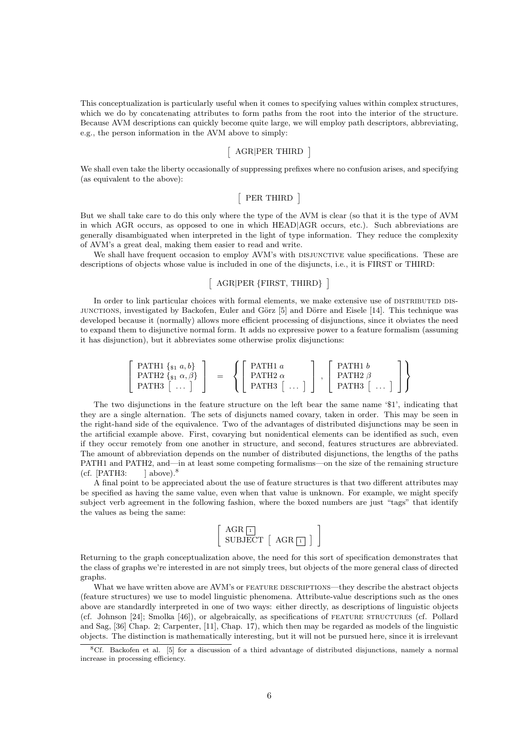This conceptualization is particularly useful when it comes to specifying values within complex structures, which we do by concatenating attributes to form paths from the root into the interior of the structure. Because AVM descriptions can quickly become quite large, we will employ path descriptors, abbreviating, e.g., the person information in the AVM above to simply:

### - AGR|PER THIRD

We shall even take the liberty occasionally of suppressing prefixes where no confusion arises, and specifying (as equivalent to the above):

#### - PER THIRD

But we shall take care to do this only where the type of the AVM is clear (so that it is the type of AVM in which AGR occurs, as opposed to one in which HEAD|AGR occurs, etc.). Such abbreviations are generally disambiguated when interpreted in the light of type information. They reduce the complexity of AVM's a great deal, making them easier to read and write.

We shall have frequent occasion to employ AVM's with DISJUNCTIVE value specifications. These are descriptions of objects whose value is included in one of the disjuncts, i.e., it is FIRST or THIRD:

### - AGR|PER {FIRST, THIRD}

In order to link particular choices with formal elements, we make extensive use of DISTRIBUTED DISjunctions, investigated by Backofen, Euler and G¨orz [5] and D¨orre and Eisele [14]. This technique was developed because it (normally) allows more efficient processing of disjunctions, since it obviates the need to expand them to disjunctive normal form. It adds no expressive power to a feature formalism (assuming it has disjunction), but it abbreviates some otherwise prolix disjunctions:

$$
\left[\begin{array}{c}\text{PATH1 } \{\underline{\mathbf{s}}_1 \ a, b\}\\ \text{PATH2 } \{\underline{\mathbf{s}}_1 \ \alpha, \beta\}\\ \text{PATH3 } \left[\begin{array}{c} \dots \end{array}\right]\end{array}\right] \quad = \quad \left\{\left[\begin{array}{c}\text{PATH1 } a\\ \text{PATH2 } \alpha\\ \text{PATH3 } \left[\begin{array}{c} \dots \end{array}\right]\end{array}\right],\left[\begin{array}{c}\text{PATH1 } b\\ \text{PATH2 } \beta\\ \text{PATH3 } \left[\begin{array}{c} \dots \end{array}\right]\end{array}\right]\right\}
$$

The two disjunctions in the feature structure on the left bear the same name '\$1', indicating that they are a single alternation. The sets of disjuncts named covary, taken in order. This may be seen in the right-hand side of the equivalence. Two of the advantages of distributed disjunctions may be seen in the artificial example above. First, covarying but nonidentical elements can be identified as such, even if they occur remotely from one another in structure, and second, features structures are abbreviated. The amount of abbreviation depends on the number of distributed disjunctions, the lengths of the paths PATH1 and PATH2, and—in at least some competing formalisms—on the size of the remaining structure (cf. [PATH3:  $|$  above).<sup>8</sup>

A final point to be appreciated about the use of feature structures is that two different attributes may be specified as having the same value, even when that value is unknown. For example, we might specify subject verb agreement in the following fashion, where the boxed numbers are just "tags" that identify the values as being the same:



Returning to the graph conceptualization above, the need for this sort of specification demonstrates that the class of graphs we're interested in are not simply trees, but objects of the more general class of directed graphs.

What we have written above are AVM's or FEATURE DESCRIPTIONS—they describe the abstract objects (feature structures) we use to model linguistic phenomena. Attribute-value descriptions such as the ones above are standardly interpreted in one of two ways: either directly, as descriptions of linguistic objects (cf. Johnson [24]; Smolka [46]), or algebraically, as specifications of feature structures (cf. Pollard and Sag, [36] Chap. 2; Carpenter, [11], Chap. 17), which then may be regarded as models of the linguistic objects. The distinction is mathematically interesting, but it will not be pursued here, since it is irrelevant

<sup>8</sup>Cf. Backofen et al. [5] for a discussion of a third advantage of distributed disjunctions, namely a normal increase in processing efficiency.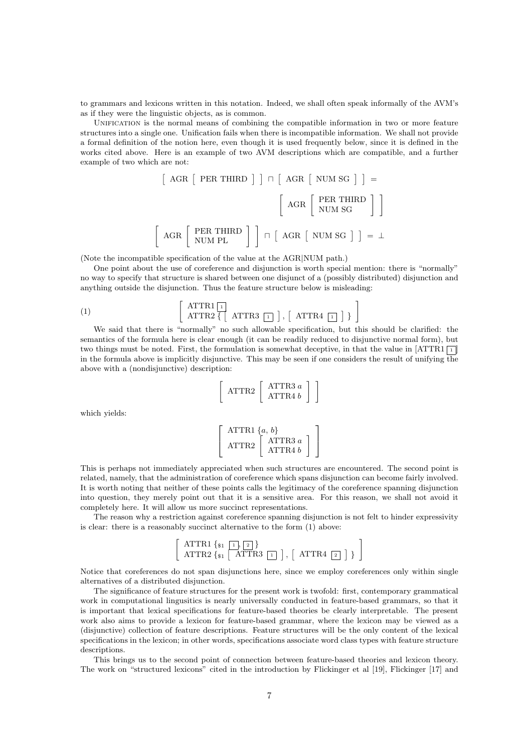to grammars and lexicons written in this notation. Indeed, we shall often speak informally of the AVM's as if they were the linguistic objects, as is common.

UNIFICATION is the normal means of combining the compatible information in two or more feature structures into a single one. Unification fails when there is incompatible information. We shall not provide a formal definition of the notion here, even though it is used frequently below, since it is defined in the works cited above. Here is an example of two AVM descriptions which are compatible, and a further example of two which are not:

$$
\begin{bmatrix} \text{AGR} \end{bmatrix} \text{PER THEN } \begin{bmatrix} \text{I} \end{bmatrix} \text{ } \begin{bmatrix} \text{AGR} \end{bmatrix} \text{ } \text{NUM SG} \end{bmatrix} = \begin{bmatrix} \text{AGR} \end{bmatrix} \text{RGR} \text{ } \begin{bmatrix} \text{PER THEN } \\ \text{NUM SG} \end{bmatrix} \text{ } \begin{bmatrix} \text{AGR} \end{bmatrix} \text{ } \text{NUM BG} \text{ } \begin{bmatrix} \text{PER THEN } \\ \text{NUM PL} \end{bmatrix} \text{ } \begin{bmatrix} \text{AGR} \end{bmatrix} \text{ } \text{NUM SG} \text{ } \begin{bmatrix} \text{HER} \end{bmatrix} \text{ } \begin{bmatrix} \text{AGR} \end{bmatrix} \text{ } \text{NUM SG} \text{ } \begin{bmatrix} \text{HER} \end{bmatrix} \text{ } \begin{bmatrix} \text{HER} \end{bmatrix} \text{ } \begin{bmatrix} \text{AGR} \end{bmatrix} \text{ } \begin{bmatrix} \text{NUM SG} \end{bmatrix} \text{ } \begin{bmatrix} \text{HER} \end{bmatrix} \text{ } \begin{bmatrix} \text{AGR} \end{bmatrix} \text{ } \begin{bmatrix} \text{NUM SG} \end{bmatrix} \text{ } \begin{bmatrix} \text{HER} \end{bmatrix} \text{ } \begin{bmatrix} \text{HER} \end{bmatrix} \text{ } \begin{bmatrix} \text{AGR} \end{bmatrix} \text{ } \begin{bmatrix} \text{HCR} \end{bmatrix} \text{ } \begin{bmatrix} \text{HCR} \end{bmatrix} \text{ } \begin{bmatrix} \text{HCR} \end{bmatrix} \text{ } \begin{bmatrix} \text{HCR} \end{bmatrix} \text{ } \begin{bmatrix} \text{AGR} \end{bmatrix} \text{ } \begin{bmatrix} \text{HCR} \end{bmatrix} \text{ } \begin{bmatrix} \text{HCR} \end{bmatrix} \text{ } \begin{bmatrix} \text{HCR} \end{bmatrix} \text{ } \begin{bmatrix} \text{HER} \end{bmatrix} \text{ } \begin{bmatrix} \text{HER} \end{bmatrix} \text{ } \begin{bmatrix} \text{HER} \end{bmatrix} \text{ } \begin{bmatrix} \text{HER} \end
$$

(Note the incompatible specification of the value at the AGR|NUM path.)

One point about the use of coreference and disjunction is worth special mention: there is "normally" no way to specify that structure is shared between one disjunct of a (possibly distributed) disjunction and anything outside the disjunction. Thus the feature structure below is misleading:

$$
\begin{bmatrix}\n\text{ATTR1} \\
\text{ATTR2} \\
\text{ATTR3} \\
\text{I}\n\end{bmatrix}, \begin{bmatrix}\n\text{ATTR4} \\
\text{I}\n\end{bmatrix}\n\end{bmatrix}
$$

We said that there is "normally" no such allowable specification, but this should be clarified: the semantics of the formula here is clear enough (it can be readily reduced to disjunctive normal form), but two things must be noted. First, the formulation is somewhat deceptive, in that the value in  $[ATTRI]$ in the formula above is implicitly disjunctive. This may be seen if one considers the result of unifying the above with a (nondisjunctive) description:

$$
\left[ \begin{array}{c} {\rm ATTR2} \\ {\rm ATTR4} \ b \end{array} \right] \; \left]
$$

which yields:

$$
\left[\begin{array}{c}\text{ATTR1 }\{a,\,b\}\\\text{ATTR2 }\left[\begin{array}{c}\text{ATTR3 } a\\\text{ATTR4 }b\end{array}\right]\end{array}\right]
$$

This is perhaps not immediately appreciated when such structures are encountered. The second point is related, namely, that the administration of coreference which spans disjunction can become fairly involved. It is worth noting that neither of these points calls the legitimacy of the coreference spanning disjunction into question, they merely point out that it is a sensitive area. For this reason, we shall not avoid it completely here. It will allow us more succinct representations.

The reason why a restriction against coreference spanning disjunction is not felt to hinder expressivity is clear: there is a reasonably succinct alternative to the form (1) above:

$$
\left[\begin{array}{c}\n\text{ATTR1}\n\{_{\$1}\n\quad \boxed{1},\n\boxed{2}\n\}\n\text{ATTR2}\n\{_{\$1}\n\end{array}\n\left[\begin{array}{c}\n\text{ATTR3}\n\boxed{1}\n\end{array}\n\right],\n\left[\begin{array}{c}\n\text{ATTR4}\n\boxed{2}\n\end{array}\n\right]\n\}
$$

Notice that coreferences do not span disjunctions here, since we employ coreferences only within single alternatives of a distributed disjunction.

The significance of feature structures for the present work is twofold: first, contemporary grammatical work in computational lingusitics is nearly universally conducted in feature-based grammars, so that it is important that lexical specifications for feature-based theories be clearly interpretable. The present work also aims to provide a lexicon for feature-based grammar, where the lexicon may be viewed as a (disjunctive) collection of feature descriptions. Feature structures will be the only content of the lexical specifications in the lexicon; in other words, specifications associate word class types with feature structure descriptions.

This brings us to the second point of connection between feature-based theories and lexicon theory. The work on "structured lexicons" cited in the introduction by Flickinger et al [19], Flickinger [17] and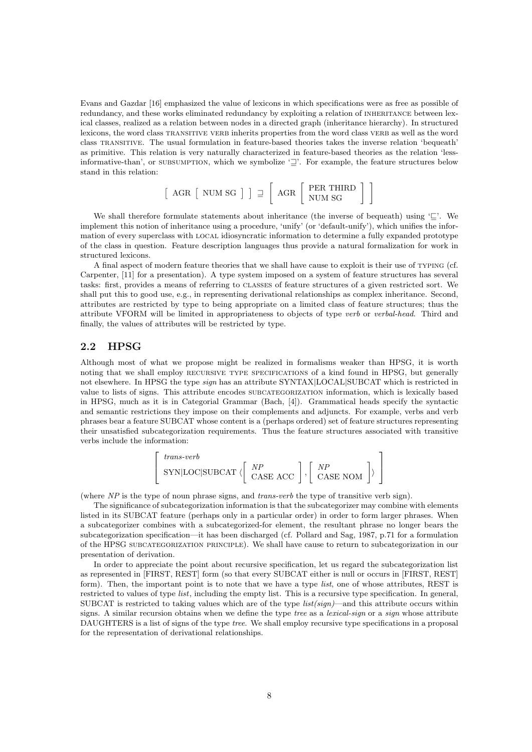Evans and Gazdar [16] emphasized the value of lexicons in which specifications were as free as possible of redundancy, and these works eliminated redundancy by exploiting a relation of INHERITANCE between lexical classes, realized as a relation between nodes in a directed graph (inheritance hierarchy). In structured lexicons, the word class TRANSITIVE VERB inherits properties from the word class VERB as well as the word class transitive. The usual formulation in feature-based theories takes the inverse relation 'bequeath' as primitive. This relation is very naturally characterized in feature-based theories as the relation 'lessinformative-than', or subsumption, which we symbolize  $\Box$ . For example, the feature structures below stand in this relation:

 $[AGR [NUMSG ] ] \supseteq [AGR [PER THIRD ] ]$ 

We shall therefore formulate statements about inheritance (the inverse of bequeath) using ' $\subseteq$ '. We implement this notion of inheritance using a procedure, 'unify' (or 'default-unify'), which unifies the information of every superclass with local idiosyncratic information to determine a fully expanded prototype of the class in question. Feature description languages thus provide a natural formalization for work in structured lexicons.

A final aspect of modern feature theories that we shall have cause to exploit is their use of typing (cf. Carpenter, [11] for a presentation). A type system imposed on a system of feature structures has several tasks: first, provides a means of referring to classes of feature structures of a given restricted sort. We shall put this to good use, e.g., in representing derivational relationships as complex inheritance. Second, attributes are restricted by type to being appropriate on a limited class of feature structures; thus the attribute VFORM will be limited in appropriateness to objects of type verb or verbal-head. Third and finally, the values of attributes will be restricted by type.

# 2.2 HPSG

Although most of what we propose might be realized in formalisms weaker than HPSG, it is worth noting that we shall employ RECURSIVE TYPE SPECIFICATIONS of a kind found in HPSG, but generally not elsewhere. In HPSG the type sign has an attribute SYNTAX|LOCAL|SUBCAT which is restricted in value to lists of signs. This attribute encodes subcategorization information, which is lexically based in HPSG, much as it is in Categorial Grammar (Bach, [4]). Grammatical heads specify the syntactic and semantic restrictions they impose on their complements and adjuncts. For example, verbs and verb phrases bear a feature SUBCAT whose content is a (perhaps ordered) set of feature structures representing their unsatisfied subcategorization requirements. Thus the feature structures associated with transitive verbs include the information:

$$
\begin{bmatrix} \text{trans-verb} \\ \text{SYN}|\text{LOC}|\text{SUBCAT} \langle \begin{bmatrix} NP \\ \text{CASE ACC} \end{bmatrix}, \begin{bmatrix} NP \\ \text{CASE NOM} \end{bmatrix} \rangle \end{bmatrix}
$$

(where  $NP$  is the type of noun phrase signs, and *trans-verb* the type of transitive verb sign).

The significance of subcategorization information is that the subcategorizer may combine with elements listed in its SUBCAT feature (perhaps only in a particular order) in order to form larger phrases. When a subcategorizer combines with a subcategorized-for element, the resultant phrase no longer bears the subcategorization specification—it has been discharged (cf. Pollard and Sag, 1987, p.71 for a formulation of the HPSG subcategorization principle). We shall have cause to return to subcategorization in our presentation of derivation.

In order to appreciate the point about recursive specification, let us regard the subcategorization list as represented in [FIRST, REST] form (so that every SUBCAT either is null or occurs in [FIRST, REST] form). Then, the important point is to note that we have a type *list*, one of whose attributes, REST is restricted to values of type *list*, including the empty list. This is a recursive type specification. In general, SUBCAT is restricted to taking values which are of the type  $list(sign)$ —and this attribute occurs within signs. A similar recursion obtains when we define the type tree as a lexical-sign or a sign whose attribute DAUGHTERS is a list of signs of the type tree. We shall employ recursive type specifications in a proposal for the representation of derivational relationships.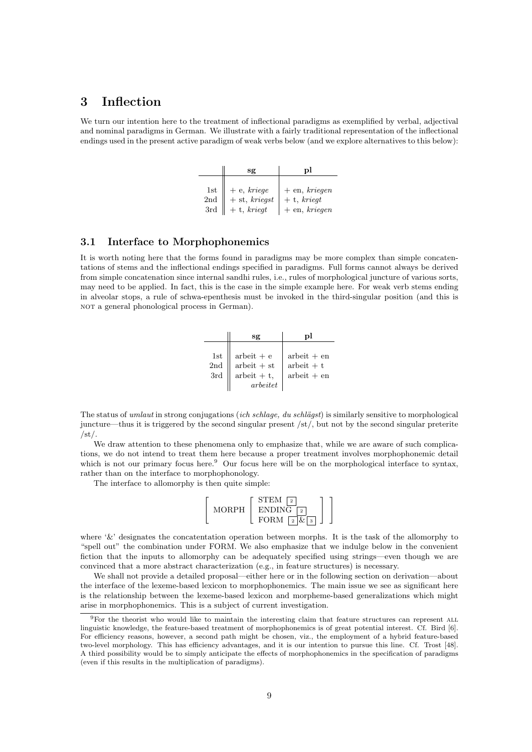# 3 Inflection

We turn our intention here to the treatment of inflectional paradigms as exemplified by verbal, adjectival and nominal paradigms in German. We illustrate with a fairly traditional representation of the inflectional endings used in the present active paradigm of weak verbs below (and we explore alternatives to this below):

| 1st   | $+$ e, kriege   | $+$ en, kriegen |
|-------|-----------------|-----------------|
| 2nd   | $+$ st, kriegst | $+$ t, kriegt   |
| $3rd$ | $+$ t, kriegt   | $+$ en, kriegen |

### 3.1 Interface to Morphophonemics

It is worth noting here that the forms found in paradigms may be more complex than simple concatentations of stems and the inflectional endings specified in paradigms. Full forms cannot always be derived from simple concatenation since internal sandhi rules, i.e., rules of morphological juncture of various sorts, may need to be applied. In fact, this is the case in the simple example here. For weak verb stems ending in alveolar stops, a rule of schwa-epenthesis must be invoked in the third-singular position (and this is not a general phonological process in German).

|                   | sg                                                          | рl                                             |
|-------------------|-------------------------------------------------------------|------------------------------------------------|
| 1st<br>2nd<br>3rd | $arbeit + e$<br>$arbeit + st$<br>$arbeit + t$ ,<br>arbeitet | $arbeit + en$<br>$arbeit + t$<br>$arbeit + en$ |

The status of umlaut in strong conjugations (ich schlage, du schlägst) is similarly sensitive to morphological juncture—thus it is triggered by the second singular present /st/, but not by the second singular preterite  $\sqrt{\mathrm{st}}$ .

We draw attention to these phenomena only to emphasize that, while we are aware of such complications, we do not intend to treat them here because a proper treatment involves morphophonemic detail which is not our primary focus here.<sup>9</sup> Our focus here will be on the morphological interface to syntax, rather than on the interface to morphophonology.

The interface to allomorphy is then quite simple:



where '&' designates the concatentation operation between morphs. It is the task of the allomorphy to "spell out" the combination under FORM. We also emphasize that we indulge below in the convenient fiction that the inputs to allomorphy can be adequately specified using strings—even though we are convinced that a more abstract characterization (e.g., in feature structures) is necessary.

We shall not provide a detailed proposal—either here or in the following section on derivation—about the interface of the lexeme-based lexicon to morphophonemics. The main issue we see as significant here is the relationship between the lexeme-based lexicon and morpheme-based generalizations which might arise in morphophonemics. This is a subject of current investigation.

<sup>9</sup>For the theorist who would like to maintain the interesting claim that feature structures can represent all linguistic knowledge, the feature-based treatment of morphophonemics is of great potential interest. Cf. Bird [6]. For efficiency reasons, however, a second path might be chosen, viz., the employment of a hybrid feature-based two-level morphology. This has efficiency advantages, and it is our intention to pursue this line. Cf. Trost [48]. A third possibility would be to simply anticipate the effects of morphophonemics in the specification of paradigms (even if this results in the multiplication of paradigms).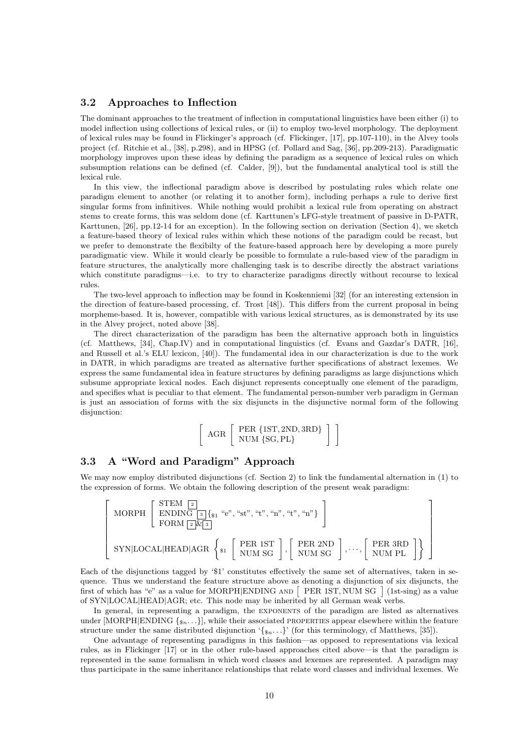#### 3.2 Approaches to Inflection

The dominant approaches to the treatment of inflection in computational linguistics have been either (i) to model inflection using collections of lexical rules, or (ii) to employ two-level morphology. The deployment of lexical rules may be found in Flickinger's approach (cf. Flickinger, [17], pp.107-110), in the Alvey tools project (cf. Ritchie et al., [38], p.298), and in HPSG (cf. Pollard and Sag, [36], pp.209-213). Paradigmatic morphology improves upon these ideas by defining the paradigm as a sequence of lexical rules on which subsumption relations can be defined (cf. Calder, [9]), but the fundamental analytical tool is still the lexical rule.

In this view, the inflectional paradigm above is described by postulating rules which relate one paradigm element to another (or relating it to another form), including perhaps a rule to derive first singular forms from infinitives. While nothing would prohibit a lexical rule from operating on abstract stems to create forms, this was seldom done (cf. Karttunen's LFG-style treatment of passive in D-PATR, Karttunen, [26], pp.12-14 for an exception). In the following section on derivation (Section 4), we sketch a feature-based theory of lexical rules within which these notions of the paradigm could be recast, but we prefer to demonstrate the flexibilty of the feature-based approach here by developing a more purely paradigmatic view. While it would clearly be possible to formulate a rule-based view of the paradigm in feature structures, the analytically more challenging task is to describe directly the abstract variations which constitute paradigms—i.e. to try to characterize paradigms directly without recourse to lexical rules.

The two-level approach to inflection may be found in Koskenniemi [32] (for an interesting extension in the direction of feature-based processing, cf. Trost [48]). This differs from the current proposal in being morpheme-based. It is, however, compatible with various lexical structures, as is demonstrated by its use in the Alvey project, noted above [38].

The direct characterization of the paradigm has been the alternative approach both in linguistics (cf. Matthews, [34], Chap.IV) and in computational linguistics (cf. Evans and Gazdar's DATR, [16], and Russell et al.'s ELU lexicon, [40]). The fundamental idea in our characterization is due to the work in DATR, in which paradigms are treated as alternative further specifications of abstract lexemes. We express the same fundamental idea in feature structures by defining paradigms as large disjunctions which subsume appropriate lexical nodes. Each disjunct represents conceptually one element of the paradigm, and specifies what is peculiar to that element. The fundamental person-number verb paradigm in German is just an association of forms with the six disjuncts in the disjunctive normal form of the following disjunction:

$$
\left[\begin{array}{c} \text{AGR} \left[\begin{array}{c} \text{PER {1ST,2ND,3RD} } \\ \text{NUM {SG,PL} } \end{array}\right] \end{array}\right]
$$

#### 3.3 A "Word and Paradigm" Approach

We may now employ distributed disjunctions (cf. Section 2) to link the fundamental alternation in (1) to the expression of forms. We obtain the following description of the present weak paradigm:

$$
\left[\begin{array}{c}\text{MORPH}\left[\begin{array}{c}\text{STEM}\left[\frac{2}{2}\right]\left\{s_1\right.\right.\right.\\ \text{ENDING}\left[\frac{1}{2}\left\{s_1\right.\right.\right.\\ \text{FORM}\left[\frac{1}{2}\&3\right]}\left\{s_1\right.\right.\right.\\ \text{SYN}|\text{LOCAL}|\text{HEAD}|\text{AGR}\left\{\left.\begin{array}{c}\text{PER 1ST}\\\text{NUM SG}\end{array}\right],\left[\begin{array}{c}\text{PER 2ND}\\\text{NUM SG}\end{array}\right],\ldots,\left[\begin{array}{c}\text{PER 3RD}\\\text{NUM PI}\end{array}\right]\right\}\end{array}\right\}
$$

Each of the disjunctions tagged by '\$1' constitutes effectively the same set of alternatives, taken in sequence. Thus we understand the feature structure above as denoting a disjunction of six disjuncts, the first of which has "e" as a value for MORPH|ENDING AND  $\lceil$  PER 1ST, NUM SG  $\rceil$  (1st-sing) as a value of SYN|LOCAL|HEAD|AGR; etc. This node may be inherited by all German weak verbs.

In general, in representing a paradigm, the EXPONENTS of the paradigm are listed as alternatives under [MORPH|ENDING  $\{s_n, \ldots\}$ ], while their associated properties appear elsewhere within the feature structure under the same distributed disjunction  $\{s_n, \ldots\}$ ' (for this terminology, cf Matthews, [35]).

One advantage of representing paradigms in this fashion—as opposed to representations via lexical rules, as in Flickinger [17] or in the other rule-based approaches cited above—is that the paradigm is represented in the same formalism in which word classes and lexemes are represented. A paradigm may thus participate in the same inheritance relationships that relate word classes and individual lexemes. We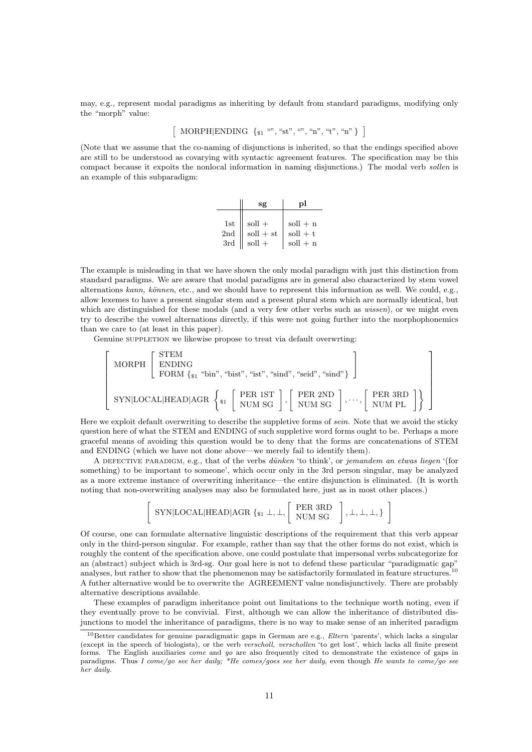may, e.g., represent modal paradigms as inheriting by default from standard paradigms, modifying only the "morph" value:

$$
\left[ \begin{array}{llll} \text{MORPH} | \text{ENDING } \{_{\$1} \text{ ``''}, \text{``st''}, \text{``''}, \text{``n''}, \text{``t''}, \text{``n''} \} \end{array} \right]
$$

(Note that we assume that the co-naming of disjunctions is inherited, so that the endings specified above are still to be understood as covarying with syntactic agreement features. The specification may be this compact because it expoits the nonlocal information in naming disjunctions.) The modal verb sollen is an example of this subparadigm:

|     | sg                        | рl                       |
|-----|---------------------------|--------------------------|
|     |                           |                          |
| 1st | $\text{coll}$ +           | soll $+ n$               |
| 2nd | $\text{coll} + \text{st}$ | soll $+$ t               |
| 3rd | $\text{coll}$ +           | $\text{coll} + \text{n}$ |

The example is misleading in that we have shown the only modal paradigm with just this distinction from standard paradigms. We are aware that modal paradigms are in general also characterized by stem vowel alternations kann, können, etc., and we should have to represent this information as well. We could, e.g., allow lexemes to have a present singular stem and a present plural stem which are normally identical, but which are distinguished for these modals (and a very few other verbs such as *wissen*), or we might even try to describe the vowel alternations directly, if this were not going further into the morphophonemics than we care to (at least in this paper).

Genuine suppletion we likewise propose to treat via default overwrting:

 $\sqrt{ }$ 

$$
\left[\begin{array}{c}\text{MORPH}\left[\begin{array}{c}\text{STEM}\\\text{ENDING}\\\text{FORM } \{_{\$1}}\end{array}\text{``bin", ``bist", ``ist", ``sind", ``seid", ``sind"}\}\end{array}\right]\\\text{SYN}|\text{LOCAL}|\text{HEAD}|\text{AGR}\left\{\begin{array}{c}\text{s1}\left[\begin{array}{c}\text{PER }1\text{ST}\\\text{NUM }SG}\end{array}\right],\left[\begin{array}{c}\text{PER }2\text{ND}\\\text{NUM }SG}\end{array}\right],\cdots,\left[\begin{array}{c}\text{PER }3\text{RD}\\\text{NUM }PL\end{array}\right]\right\}\end{array}\right]
$$

Here we exploit default overwriting to describe the suppletive forms of *sein*. Note that we avoid the sticky question here of what the STEM and ENDING of such suppletive word forms ought to be. Perhaps a more graceful means of avoiding this question would be to deny that the forms are concatenations of STEM and ENDING (which we have not done above—we merely fail to identify them).

A DEFECTIVE PARADIGM, e.g., that of the verbs dünken 'to think', or jemandem an etwas liegen '(for something) to be important to someone', which occur only in the 3rd person singular, may be analyzed as a more extreme instance of overwriting inheritance—the entire disjunction is eliminated. (It is worth noting that non-overwriting analyses may also be formulated here, just as in most other places.)

$$
\text{SYN}|\text{LOCAL}|\text{HEAD}|\text{AGR} \left\{_{\$1} \perp , \perp , \left[ \begin{array}{c} \text{PER} \; \text{3RD} \\ \text{NUM} \; \text{SG} \end{array} \right], \perp , \perp , \perp , \right\}\ \right]
$$

Of course, one can formulate alternative linguistic descriptions of the requirement that this verb appear only in the third-person singular. For example, rather than say that the other forms do not exist, which is roughly the content of the specification above, one could postulate that impersonal verbs subcategorize for an (abstract) subject which is 3rd-sg. Our goal here is not to defend these particular "paradigmatic gap" analyses, but rather to show that the phenomenon may be satisfactorily formulated in feature structures.<sup>10</sup> A futher alternative would be to overwrite the AGREEMENT value nondisjunctively. There are probably alternative descriptions available.

These examples of paradigm inheritance point out limitations to the technique worth noting, even if they eventually prove to be convivial. First, although we can allow the inheritance of distributed disjunctions to model the inheritance of paradigms, there is no way to make sense of an inherited paradigm

<sup>&</sup>lt;sup>10</sup>Better candidates for genuine paradigmatic gaps in German are e.g., *Eltern* 'parents', which lacks a singular (except in the speech of biologists), or the verb verscholl, verschollen 'to get lost', which lacks all finite present forms. The English auxiliaries come and go are also frequently cited to demonstrate the existence of gaps in paradigms. Thus I come/go see her daily; \*He comes/goes see her daily, even though He wants to come/go see her daily.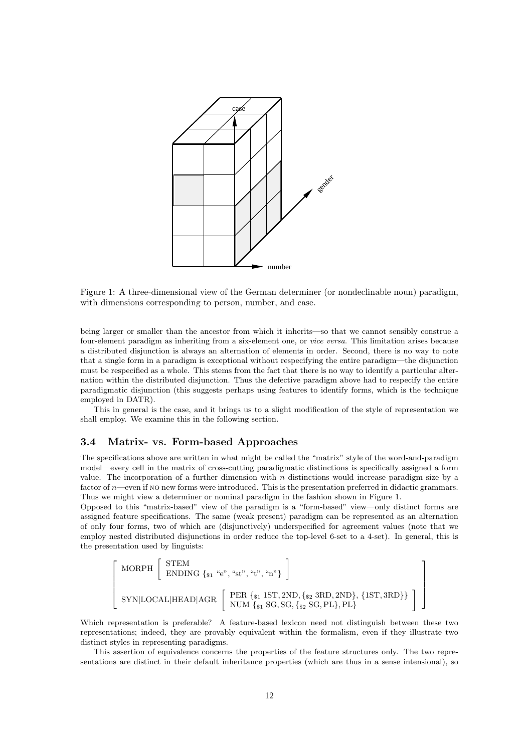

Figure 1: A three-dimensional view of the German determiner (or nondeclinable noun) paradigm, with dimensions corresponding to person, number, and case.

being larger or smaller than the ancestor from which it inherits—so that we cannot sensibly construe a four-element paradigm as inheriting from a six-element one, or vice versa. This limitation arises because a distributed disjunction is always an alternation of elements in order. Second, there is no way to note that a single form in a paradigm is exceptional without respecifying the entire paradigm—the disjunction must be respecified as a whole. This stems from the fact that there is no way to identify a particular alternation within the distributed disjunction. Thus the defective paradigm above had to respecify the entire paradigmatic disjunction (this suggests perhaps using features to identify forms, which is the technique employed in DATR).

This in general is the case, and it brings us to a slight modification of the style of representation we shall employ. We examine this in the following section.

#### 3.4 Matrix- vs. Form-based Approaches

The specifications above are written in what might be called the "matrix" style of the word-and-paradigm model—every cell in the matrix of cross-cutting paradigmatic distinctions is specifically assigned a form value. The incorporation of a further dimension with  $n$  distinctions would increase paradigm size by a factor of n—even if no new forms were introduced. This is the presentation preferred in didactic grammars. Thus we might view a determiner or nominal paradigm in the fashion shown in Figure 1.

Opposed to this "matrix-based" view of the paradigm is a "form-based" view—only distinct forms are assigned feature specifications. The same (weak present) paradigm can be represented as an alternation of only four forms, two of which are (disjunctively) underspecified for agreement values (note that we employ nested distributed disjunctions in order reduce the top-level 6-set to a 4-set). In general, this is the presentation used by linguists:

$$
\left[\begin{array}{c}\text{MORPH}\left[\begin{array}{c}\text{STEM}\\\text{ENDING }\lbrace_{\$1}\end{array}\text{``e", ``st", ``t", ``n"}\rbrace\end{array}\right]\\\text{SYN}|\text{DCAL}| \text{HEAD}| \text{AGR}\left[\begin{array}{c}\text{PER }\lbrace_{\$1}\end{array}\text{IST, 2ND, }\lbrace_{\$2}\end{array}\text{3RD, 2ND}\rbrace,\ \{\text{1ST, 3RD}\}\}\ \right]\end{array}\right]
$$

Which representation is preferable? A feature-based lexicon need not distinguish between these two representations; indeed, they are provably equivalent within the formalism, even if they illustrate two distinct styles in representing paradigms.

This assertion of equivalence concerns the properties of the feature structures only. The two representations are distinct in their default inheritance properties (which are thus in a sense intensional), so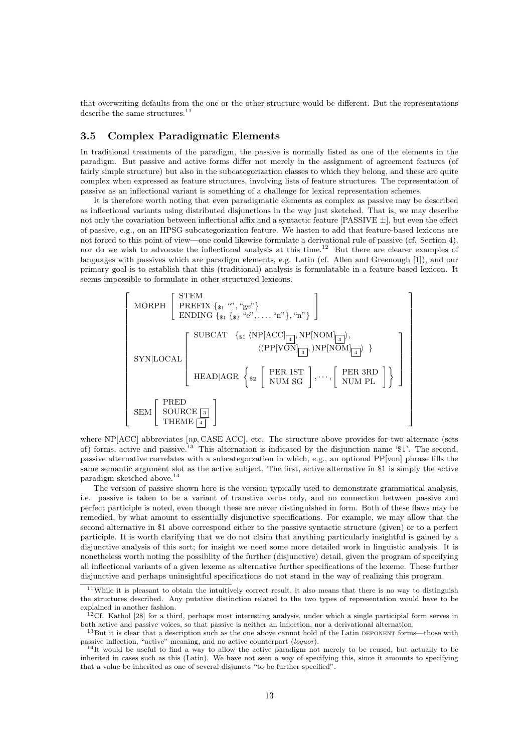that overwriting defaults from the one or the other structure would be different. But the representations describe the same structures.<sup>11</sup>

### 3.5 Complex Paradigmatic Elements

In traditional treatments of the paradigm, the passive is normally listed as one of the elements in the paradigm. But passive and active forms differ not merely in the assignment of agreement features (of fairly simple structure) but also in the subcategorization classes to which they belong, and these are quite complex when expressed as feature structures, involving lists of feature structures. The representation of passive as an inflectional variant is something of a challenge for lexical representation schemes.

It is therefore worth noting that even paradigmatic elements as complex as passive may be described as inflectional variants using distributed disjunctions in the way just sketched. That is, we may describe not only the covariation between inflectional affix and a syntactic feature  $[PASSIVE \pm]$ , but even the effect of passive, e.g., on an HPSG subcategorization feature. We hasten to add that feature-based lexicons are not forced to this point of view—one could likewise formulate a derivational rule of passive (cf. Section 4), nor do we wish to advocate the inflectional analysis at this time.<sup>12</sup> But there are clearer examples of languages with passives which are paradigm elements, e.g. Latin (cf. Allen and Greenough [1]), and our primary goal is to establish that this (traditional) analysis is formulatable in a feature-based lexicon. It seems impossible to formulate in other structured lexicons.



where NP[ACC] abbreviates [np, CASE ACC], etc. The structure above provides for two alternate (sets of) forms, active and passive.<sup>13</sup> This alternation is indicated by the disjunction name '\$1'. The second, passive alternative correlates with a subcategorzation in which, e.g., an optional PP[von] phrase fills the same semantic argument slot as the active subject. The first, active alternative in \$1 is simply the active paradigm sketched above.<sup>14</sup>

The version of passive shown here is the version typically used to demonstrate grammatical analysis, i.e. passive is taken to be a variant of transtive verbs only, and no connection between passive and perfect participle is noted, even though these are never distinguished in form. Both of these flaws may be remedied, by what amount to essentially disjunctive specifications. For example, we may allow that the second alternative in \$1 above correspond either to the passive syntactic structure (given) or to a perfect participle. It is worth clarifying that we do not claim that anything particularly insightful is gained by a disjunctive analysis of this sort; for insight we need some more detailed work in linguistic analysis. It is nonetheless worth noting the possiblity of the further (disjunctive) detail, given the program of specifying all inflectional variants of a given lexeme as alternative further specifications of the lexeme. These further disjunctive and perhaps uninsightful specifications do not stand in the way of realizing this program.

 $11$ While it is pleasant to obtain the intuitively correct result, it also means that there is no way to distinguish the structures described. Any putative distinction related to the two types of representation would have to be explained in another fashion.

<sup>&</sup>lt;sup>12</sup>Cf. Kathol [28] for a third, perhaps most interesting analysis, under which a single participial form serves in both active and passive voices, so that passive is neither an inflection, nor a derivational alternation.

<sup>&</sup>lt;sup>13</sup>But it is clear that a description such as the one above cannot hold of the Latin DEPONENT forms—those with passive inflection, "active" meaning, and no active counterpart (loquor).

<sup>14</sup>It would be useful to find a way to allow the active paradigm not merely to be reused, but actually to be inherited in cases such as this (Latin). We have not seen a way of specifying this, since it amounts to specifying that a value be inherited as one of several disjuncts "to be further specified".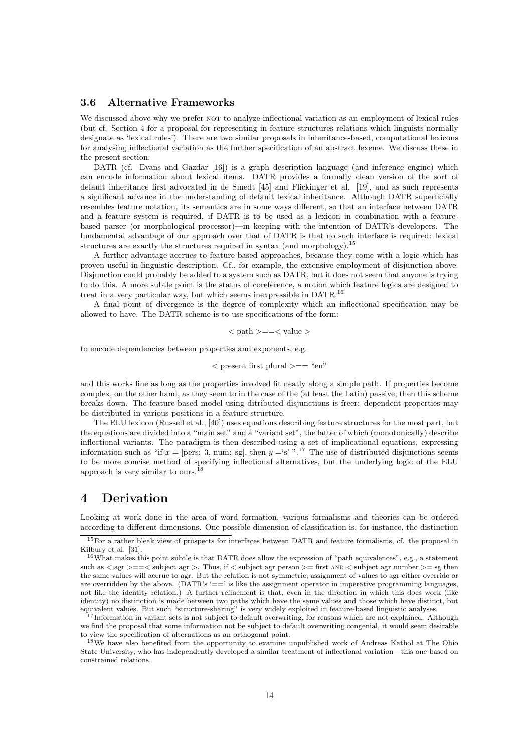### 3.6 Alternative Frameworks

We discussed above why we prefer NOT to analyze inflectional variation as an employment of lexical rules (but cf. Section 4 for a proposal for representing in feature structures relations which linguists normally designate as 'lexical rules'). There are two similar proposals in inheritance-based, computational lexicons for analysing inflectional variation as the further specification of an abstract lexeme. We discuss these in the present section.

DATR (cf. Evans and Gazdar [16]) is a graph description language (and inference engine) which can encode information about lexical items. DATR provides a formally clean version of the sort of default inheritance first advocated in de Smedt [45] and Flickinger et al. [19], and as such represents a significant advance in the understanding of default lexical inheritance. Although DATR superficially resembles feature notation, its semantics are in some ways different, so that an interface between DATR and a feature system is required, if DATR is to be used as a lexicon in combination with a featurebased parser (or morphological processor)—in keeping with the intention of DATR's developers. The fundamental advantage of our approach over that of DATR is that no such interface is required: lexical structures are exactly the structures required in syntax (and morphology).<sup>15</sup>

A further advantage accrues to feature-based approaches, because they come with a logic which has proven useful in linguistic description. Cf., for example, the extensive employment of disjunction above. Disjunction could probably be added to a system such as DATR, but it does not seem that anyone is trying to do this. A more subtle point is the status of coreference, a notion which feature logics are designed to treat in a very particular way, but which seems in<br>expressible in  $\rm{DATA}^{\rm{16}}$ 

A final point of divergence is the degree of complexity which an inflectional specification may be allowed to have. The DATR scheme is to use specifications of the form:

 $\langle$  path  $\rangle == \langle$  value  $\rangle$ 

to encode dependencies between properties and exponents, e.g.

 $\langle$  present first plural  $\rangle ==$  "en"

and this works fine as long as the properties involved fit neatly along a simple path. If properties become complex, on the other hand, as they seem to in the case of the (at least the Latin) passive, then this scheme breaks down. The feature-based model using ditributed disjunctions is freer: dependent properties may be distributed in various positions in a feature structure.

The ELU lexicon (Russell et al., [40]) uses equations describing feature structures for the most part, but the equations are divided into a "main set" and a "variant set", the latter of which (monotonically) describe inflectional variants. The paradigm is then described using a set of implicational equations, expressing information such as "if  $x =$  [pers: 3, num: sg], then  $y = s'$ ".<sup>17</sup> The use of distributed disjunctions seems to be more concise method of specifying inflectional alternatives, but the underlying logic of the ELU approach is very similar to ours.

# 4 Derivation

Looking at work done in the area of word formation, various formalisms and theories can be ordered according to different dimensions. One possible dimension of classification is, for instance, the distinction

<sup>17</sup>Information in variant sets is not subject to default overwriting, for reasons which are not explained. Although we find the proposal that some information not be subject to default overwriting congenial, it would seem desirable to view the specification of alternations as an orthogonal point.

<sup>18</sup>We have also benefited from the opportunity to examine unpublished work of Andreas Kathol at The Ohio State University, who has independently developed a similar treatment of inflectional variation—this one based on constrained relations.

<sup>&</sup>lt;sup>15</sup>For a rather bleak view of prospects for interfaces between DATR and feature formalisms, cf. the proposal in Kilbury et al. [31].

 $16$ What makes this point subtle is that DATR does allow the expression of "path equivalences", e.g., a statement such as  $\langle$  agr  $\rangle == \langle$  subject agr  $\rangle$ . Thus, if  $\langle$  subject agr person  $\rangle ==$  first AND  $\langle$  subject agr number  $\rangle ==$  sg then the same values will accrue to agr. But the relation is not symmetric; assignment of values to agr either override or are overridden by the above. ( $\overline{DATA's'} =='$  is like the assignment operator in imperative programming languages, not like the identity relation.) A further refinement is that, even in the direction in which this does work (like identity) no distinction is made between two paths which have the same values and those which have distinct, but equivalent values. But such "structure-sharing" is very widely exploited in feature-based linguistic analyses.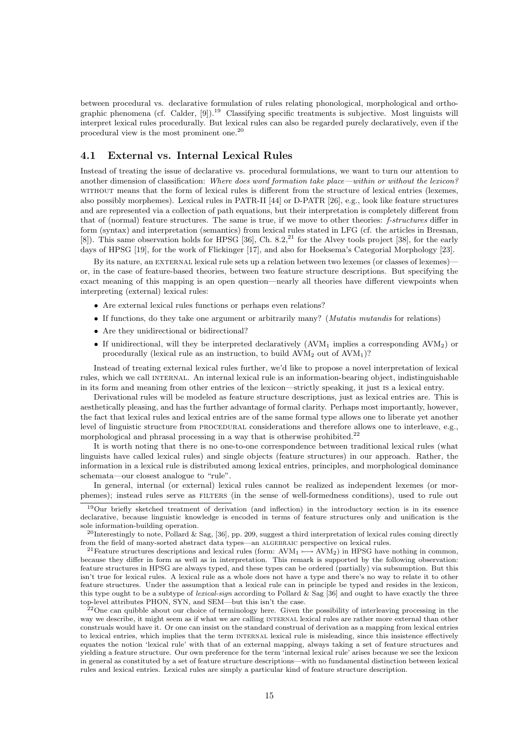between procedural vs. declarative formulation of rules relating phonological, morphological and orthographic phenomena (cf. Calder,  $[9]$ ).<sup>19</sup> Classifying specific treatments is subjective. Most linguists will interpret lexical rules procedurally. But lexical rules can also be regarded purely declaratively, even if the procedural view is the most prominent one.<sup>20</sup>

#### 4.1 External vs. Internal Lexical Rules

Instead of treating the issue of declarative vs. procedural formulations, we want to turn our attention to another dimension of classification: Where does word formation take place—within or without the lexicon? without means that the form of lexical rules is different from the structure of lexical entries (lexemes, also possibly morphemes). Lexical rules in PATR-II [44] or D-PATR [26], e.g., look like feature structures and are represented via a collection of path equations, but their interpretation is completely different from that of (normal) feature structures. The same is true, if we move to other theories: f-structures differ in form (syntax) and interpretation (semantics) from lexical rules stated in LFG (cf. the articles in Bresnan, [8]). This same observation holds for HPSG [36], Ch. 8.2,<sup>21</sup> for the Alvey tools project [38], for the early days of HPSG [19], for the work of Flickinger [17], and also for Hoeksema's Categorial Morphology [23].

By its nature, an EXTERNAL lexical rule sets up a relation between two lexemes (or classes of lexemes)or, in the case of feature-based theories, between two feature structure descriptions. But specifying the exact meaning of this mapping is an open question—nearly all theories have different viewpoints when interpreting (external) lexical rules:

- Are external lexical rules functions or perhaps even relations?
- If functions, do they take one argument or arbitrarily many? (*Mutatis mutandis* for relations)
- Are they unidirectional or bidirectional?
- If unidirectional, will they be interpreted declaratively  $(AVM_1)$  implies a corresponding  $AVM_2$ ) or procedurally (lexical rule as an instruction, to build  $AVM<sub>2</sub>$  out of  $AVM<sub>1</sub>$ )?

Instead of treating external lexical rules further, we'd like to propose a novel interpretation of lexical rules, which we call internal. An internal lexical rule is an information-bearing object, indistinguishable in its form and meaning from other entries of the lexicon—strictly speaking, it just is a lexical entry.

Derivational rules will be modeled as feature structure descriptions, just as lexical entries are. This is aesthetically pleasing, and has the further advantage of formal clarity. Perhaps most importantly, however, the fact that lexical rules and lexical entries are of the same formal type allows one to liberate yet another level of linguistic structure from PROCEDURAL considerations and therefore allows one to interleave, e.g., morphological and phrasal processing in a way that is otherwise prohibited.<sup>22</sup>

It is worth noting that there is no one-to-one correspondence between traditional lexical rules (what linguists have called lexical rules) and single objects (feature structures) in our approach. Rather, the information in a lexical rule is distributed among lexical entries, principles, and morphological dominance schemata—our closest analogue to "rule".

In general, internal (or external) lexical rules cannot be realized as independent lexemes (or morphemes); instead rules serve as FILTERS (in the sense of well-formedness conditions), used to rule out

<sup>21</sup>Feature structures descriptions and lexical rules (form: AVM<sub>1</sub>  $\rightarrow$  AVM<sub>2</sub>) in HPSG have nothing in common, because they differ in form as well as in interpretation. This remark is supported by the following observation: feature structures in HPSG are always typed, and these types can be ordered (partially) via subsumption. But this isn't true for lexical rules. A lexical rule as a whole does not have a type and there's no way to relate it to other feature structures. Under the assumption that a lexical rule can in principle be typed and resides in the lexicon, this type ought to be a subtype of lexical-sign according to Pollard & Sag [36] and ought to have exactly the three top-level attributes PHON, SYN, and SEM—but this isn't the case.

 $22$ One can quibble about our choice of terminology here. Given the possibility of interleaving processing in the way we describe, it might seem as if what we are calling INTERNAL lexical rules are rather more external than other construals would have it. Or one can insist on the standard construal of derivation as a mapping from lexical entries to lexical entries, which implies that the term INTERNAL lexical rule is misleading, since this insistence effectively equates the notion 'lexical rule' with that of an external mapping, always taking a set of feature structures and yielding a feature structure. Our own preference for the term 'internal lexical rule' arises because we see the lexicon in general as constituted by a set of feature structure descriptions—with no fundamental distinction between lexical rules and lexical entries. Lexical rules are simply a particular kind of feature structure description.

<sup>19</sup>Our briefly sketched treatment of derivation (and inflection) in the introductory section is in its essence declarative, because linguistic knowledge is encoded in terms of feature structures only and unification is the sole information-building operation.

 $^{20}$ Interestingly to note, Pollard & Sag, [36], pp. 209, suggest a third interpretation of lexical rules coming directly from the field of many-sorted abstract data types—an ALGEBRAIC perspective on lexical rules.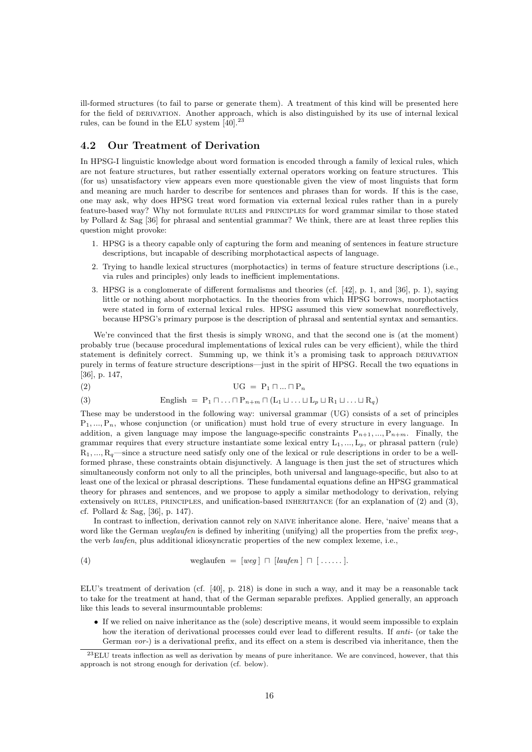ill-formed structures (to fail to parse or generate them). A treatment of this kind will be presented here for the field of derivation. Another approach, which is also distinguished by its use of internal lexical rules, can be found in the ELU system  $[40]$ .<sup>23</sup>

### 4.2 Our Treatment of Derivation

In HPSG-I linguistic knowledge about word formation is encoded through a family of lexical rules, which are not feature structures, but rather essentially external operators working on feature structures. This (for us) unsatisfactory view appears even more questionable given the view of most linguists that form and meaning are much harder to describe for sentences and phrases than for words. If this is the case, one may ask, why does HPSG treat word formation via external lexical rules rather than in a purely feature-based way? Why not formulate rules and principles for word grammar similar to those stated by Pollard & Sag [36] for phrasal and sentential grammar? We think, there are at least three replies this question might provoke:

- 1. HPSG is a theory capable only of capturing the form and meaning of sentences in feature structure descriptions, but incapable of describing morphotactical aspects of language.
- 2. Trying to handle lexical structures (morphotactics) in terms of feature structure descriptions (i.e., via rules and principles) only leads to inefficient implementations.
- 3. HPSG is a conglomerate of different formalisms and theories (cf. [42], p. 1, and [36], p. 1), saying little or nothing about morphotactics. In the theories from which HPSG borrows, morphotactics were stated in form of external lexical rules. HPSG assumed this view somewhat nonreflectively, because HPSG's primary purpose is the description of phrasal and sentential syntax and semantics.

We're convinced that the first thesis is simply wrong, and that the second one is (at the moment) probably true (because procedural implementations of lexical rules can be very efficient), while the third statement is definitely correct. Summing up, we think it's a promising task to approach DERIVATION purely in terms of feature structure descriptions—just in the spirit of HPSG. Recall the two equations in [36], p. 147,

$$
UG = P_1 \sqcap ... \sqcap P_n
$$

(3) English = 
$$
P_1 \sqcap ... \sqcap P_{n+m} \sqcap (L_1 \sqcup ... \sqcup L_p \sqcup R_1 \sqcup ... \sqcup R_q)
$$

These may be understood in the following way: universal grammar (UG) consists of a set of principles  $P_1, ..., P_n$ , whose conjunction (or unification) must hold true of every structure in every language. In addition, a given language may impose the language-specific constraints  $P_{n+1},...,P_{n+m}$ . Finally, the grammar requires that every structure instantiate some lexical entry  $L_1, ..., L_p$ , or phrasal pattern (rule)  $R_1, ..., R_q$ —since a structure need satisfy only one of the lexical or rule descriptions in order to be a wellformed phrase, these constraints obtain disjunctively. A language is then just the set of structures which simultaneously conform not only to all the principles, both universal and language-specific, but also to at least one of the lexical or phrasal descriptions. These fundamental equations define an HPSG grammatical theory for phrases and sentences, and we propose to apply a similar methodology to derivation, relying extensively on RULES, PRINCIPLES, and unification-based INHERITANCE (for an explanation of (2) and (3), cf. Pollard & Sag, [36], p. 147).

In contrast to inflection, derivation cannot rely on NAIVE inheritance alone. Here, 'naive' means that a word like the German *weglaufen* is defined by inheriting (unifying) all the properties from the prefix weg-, the verb laufen, plus additional idiosyncratic properties of the new complex lexeme, i.e.,

(4) 
$$
\text{weglaufen} = [weg] \sqcap [laufen] \sqcap [\dots].
$$

ELU's treatment of derivation (cf. [40], p. 218) is done in such a way, and it may be a reasonable tack to take for the treatment at hand, that of the German separable prefixes. Applied generally, an approach like this leads to several insurmountable problems:

• If we relied on naive inheritance as the (sole) descriptive means, it would seem impossible to explain how the iteration of derivational processes could ever lead to different results. If anti- (or take the German vor-) is a derivational prefix, and its effect on a stem is described via inheritance, then the

 $^{23}$ ELU treats inflection as well as derivation by means of pure inheritance. We are convinced, however, that this approach is not strong enough for derivation (cf. below).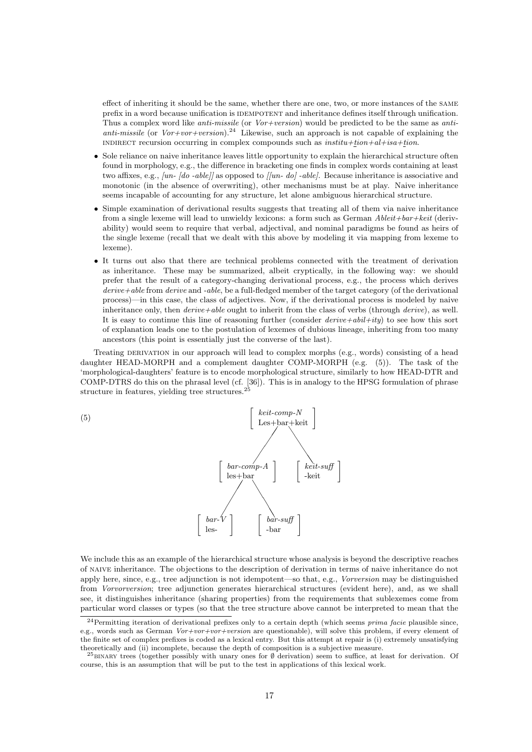effect of inheriting it should be the same, whether there are one, two, or more instances of the same prefix in a word because unification is IDEMPOTENT and inheritance defines itself through unification. Thus a complex word like *anti-missile* (or *Vor+version*) would be predicted to be the same as *anti*anti-missile (or  $Vor+vor+version$ ).<sup>24</sup> Likewise, such an approach is not capable of explaining the INDIRECT recursion occurring in complex compounds such as  $institu+tion+al+isa+tion$ .

- Sole reliance on naive inheritance leaves little opportunity to explain the hierarchical structure often found in morphology, e.g., the difference in bracketing one finds in complex words containing at least two affixes, e.g.,  $[un [do -able]]$  as opposed to  $[fun-$  do  $]$  -able]. Because inheritance is associative and monotonic (in the absence of overwriting), other mechanisms must be at play. Naive inheritance seems incapable of accounting for any structure, let alone ambiguous hierarchical structure.
- Simple examination of derivational results suggests that treating all of them via naive inheritance from a single lexeme will lead to unwieldy lexicons: a form such as German  $Albert+bar+ket$  (derivability) would seem to require that verbal, adjectival, and nominal paradigms be found as heirs of the single lexeme (recall that we dealt with this above by modeling it via mapping from lexeme to lexeme).
- It turns out also that there are technical problems connected with the treatment of derivation as inheritance. These may be summarized, albeit cryptically, in the following way: we should prefer that the result of a category-changing derivational process, e.g., the process which derives derive+able from derive and -able, be a full-fledged member of the target category (of the derivational process)—in this case, the class of adjectives. Now, if the derivational process is modeled by naive inheritance only, then  $derive+able$  ought to inherit from the class of verbs (through  $derive$ ), as well. It is easy to continue this line of reasoning further (consider  $derive+abil+ity$ ) to see how this sort of explanation leads one to the postulation of lexemes of dubious lineage, inheriting from too many ancestors (this point is essentially just the converse of the last).

Treating DERIVATION in our approach will lead to complex morphs (e.g., words) consisting of a head daughter HEAD-MORPH and a complement daughter COMP-MORPH (e.g. (5)). The task of the 'morphological-daughters' feature is to encode morphological structure, similarly to how HEAD-DTR and COMP-DTRS do this on the phrasal level (cf. [36]). This is in analogy to the HPSG formulation of phrase structure in features, yielding tree structures.<sup>25</sup>



We include this as an example of the hierarchical structure whose analysis is beyond the descriptive reaches of naive inheritance. The objections to the description of derivation in terms of naive inheritance do not apply here, since, e.g., tree adjunction is not idempotent—so that, e.g., Vorversion may be distinguished from Vorvorversion; tree adjunction generates hierarchical structures (evident here), and, as we shall see, it distinguishes inheritance (sharing properties) from the requirements that sublexemes come from particular word classes or types (so that the tree structure above cannot be interpreted to mean that the

<sup>&</sup>lt;sup>24</sup>Permitting iteration of derivational prefixes only to a certain depth (which seems *prima facie* plausible since, e.g., words such as German Vor+vor+vor+version are questionable), will solve this problem, if every element of the finite set of complex prefixes is coded as a lexical entry. But this attempt at repair is (i) extremely unsatisfying theoretically and (ii) incomplete, because the depth of composition is a subjective measure.

<sup>&</sup>lt;sup>25</sup>BINARY trees (together possibly with unary ones for Ø derivation) seem to suffice, at least for derivation. Of course, this is an assumption that will be put to the test in applications of this lexical work.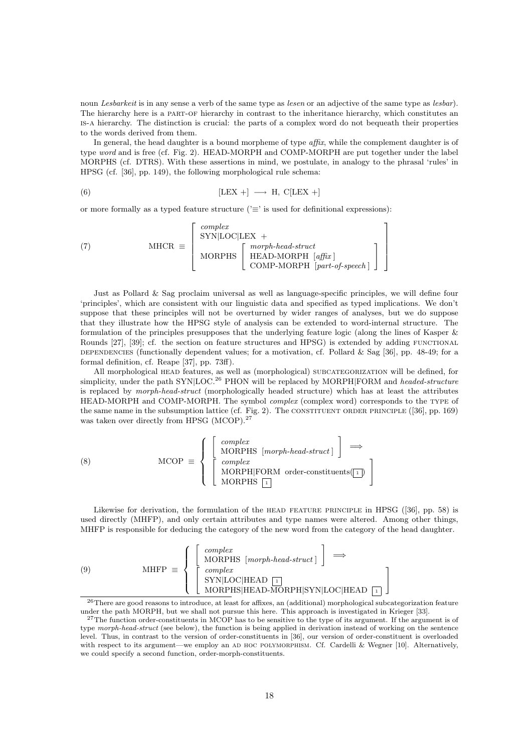noun Lesbarkeit is in any sense a verb of the same type as lesen or an adjective of the same type as lesbar). The hierarchy here is a part-of hierarchy in contrast to the inheritance hierarchy, which constitutes an is-a hierarchy. The distinction is crucial: the parts of a complex word do not bequeath their properties to the words derived from them.

In general, the head daughter is a bound morpheme of type  $affix$ , while the complement daughter is of type word and is free (cf. Fig. 2). HEAD-MORPH and COMP-MORPH are put together under the label MORPHS (cf. DTRS). With these assertions in mind, we postulate, in analogy to the phrasal 'rules' in HPSG (cf. [36], pp. 149), the following morphological rule schema:

$$
[LEX +] \longrightarrow H, C[LEX +]
$$

or more formally as a typed feature structure ( $\equiv$ ' is used for definitional expressions):

(7) 
$$
\text{MHCR} \equiv \left[ \begin{array}{c} \text{complex} \\ \text{SYN}|\text{LOC}|\text{LEX} + \\ \text{MORPHS} \left[ \begin{array}{c} \text{morph-head-struct} \\ \text{HEAD-MORPH} \left[ \text{affx} \right] \\ \text{COMP-MORPH} \left[ \text{part-of-speech} \right] \end{array} \right] \right]
$$

Just as Pollard & Sag proclaim universal as well as language-specific principles, we will define four 'principles', which are consistent with our linguistic data and specified as typed implications. We don't suppose that these principles will not be overturned by wider ranges of analyses, but we do suppose that they illustrate how the HPSG style of analysis can be extended to word-internal structure. The formulation of the principles presupposes that the underlying feature logic (along the lines of Kasper & Rounds [27], [39]; cf. the section on feature structures and HPSG) is extended by adding FUNCTIONAL DEPENDENCIES (functionally dependent values; for a motivation, cf. Pollard & Sag [36], pp. 48-49; for a formal definition, cf. Reape [37], pp. 73ff).

All morphological HEAD features, as well as (morphological) SUBCATEGORIZATION will be defined, for simplicity, under the path SYN|LOC.<sup>26</sup> PHON will be replaced by MORPH|FORM and headed-structure is replaced by morph-head-struct (morphologically headed structure) which has at least the attributes HEAD-MORPH and COMP-MORPH. The symbol *complex* (complex word) corresponds to the TYPE of the same name in the subsumption lattice (cf. Fig. 2). The CONSTITUENT ORDER PRINCIPLE ([36], pp. 169) was taken over directly from HPSG (MCOP).<sup>27</sup>

(8) 
$$
\text{MCOP} \equiv \left\{ \begin{array}{c} \left[ \begin{array}{c} complex \\ MORPHS \\ complex \\ MORPH|FORM \end{array} \right] \rightarrow \\ \left[ \begin{array}{c} complex \\ MORPH|FORM \end{array} \right] \rightarrow \\ MORPHS \boxed{1} \end{array} \right\}
$$

Likewise for derivation, the formulation of the HEAD FEATURE PRINCIPLE in HPSG ([36], pp. 58) is used directly (MHFP), and only certain attributes and type names were altered. Among other things, MHFP is responsible for deducing the category of the new word from the category of the head daughter.

(9) 
$$
\text{MHFP} \equiv \left\{ \begin{bmatrix} \text{complex} \\ \text{MORPHS} \\ \text{complex} \\ \text{SYN} | \text{LOC} | \text{HEAD} \\ \text{MORPHS} | \text{HEAD-MORPHS} | \text{SYN} | \text{LOC} | \text{HEAD} \\ \end{bmatrix} \right\}
$$

 $^{26}$ There are good reasons to introduce, at least for affixes, an (additional) morphological subcategorization feature under the path MORPH, but we shall not pursue this here. This approach is investigated in Krieger [33].

<sup>&</sup>lt;sup>27</sup>The function order-constituents in MCOP has to be sensitive to the type of its argument. If the argument is of type morph-head-struct (see below), the function is being applied in derivation instead of working on the sentence level. Thus, in contrast to the version of order-constituents in [36], our version of order-constituent is overloaded with respect to its argument—we employ an AD HOC POLYMORPHISM. Cf. Cardelli & Wegner [10]. Alternatively, we could specify a second function, order-morph-constituents.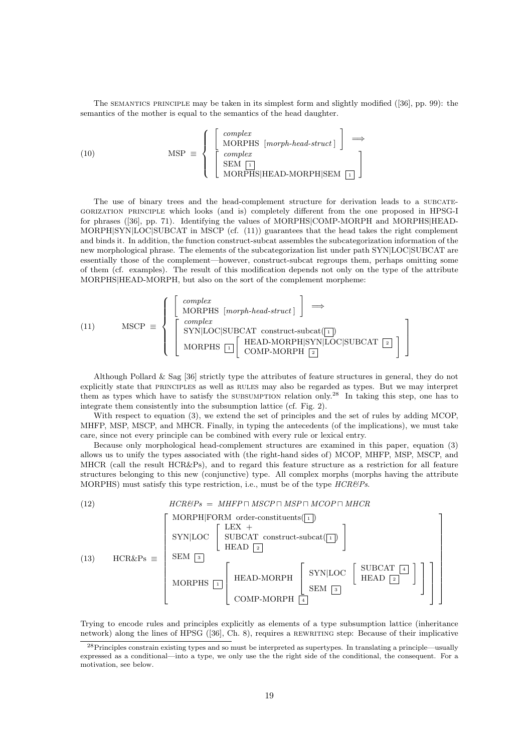The semantics principle may be taken in its simplest form and slightly modified ([36], pp. 99): the semantics of the mother is equal to the semantics of the head daughter.

(10) 
$$
\text{MSP} \equiv \left\{ \begin{bmatrix} \text{complex} \\ \text{MORPHS} & \text{[morph-head-struct]} \\ \text{SEM} & \text{J} \\ \text{MORPHS} & \text{HEAD-MORPHSEM} & \text{J} \end{bmatrix} \right\}
$$

The use of binary trees and the head-complement structure for derivation leads to a SUBCATEgorization principle which looks (and is) completely different from the one proposed in HPSG-I for phrases ([36], pp. 71). Identifying the values of MORPHS|COMP-MORPH and MORPHS|HEAD-MORPH|SYN|LOC|SUBCAT in MSCP (cf. (11)) guarantees that the head takes the right complement and binds it. In addition, the function construct-subcat assembles the subcategorization information of the new morphological phrase. The elements of the subcategorization list under path SYN|LOC|SUBCAT are essentially those of the complement—however, construct-subcat regroups them, perhaps omitting some of them (cf. examples). The result of this modification depends not only on the type of the attribute MORPHS|HEAD-MORPH, but also on the sort of the complement morpheme:

(11) 
$$
\text{MSCP} \equiv \left\{ \begin{bmatrix} \text{complex} \\ \text{MORPHS} \\ \text{SYN}|\text{LOC}|\text{SUBCAT} \\ \text{SYN}|\text{LOC}|\text{SUBCAT} \\ \text{MORPHS} \boxed{1} \begin{bmatrix} \text{HEAD-MORPH}|\text{SYN}|\text{LOC}|\text{SUBCAT} \\ \text{COMP-MORPH} \boxed{2} \end{bmatrix} \end{bmatrix} \right\}
$$

Although Pollard & Sag [36] strictly type the attributes of feature structures in general, they do not explicitly state that principles as well as rules may also be regarded as types. But we may interpret them as types which have to satisfy the SUBSUMPTION relation only.<sup>28</sup> In taking this step, one has to integrate them consistently into the subsumption lattice (cf. Fig. 2).

With respect to equation (3), we extend the set of principles and the set of rules by adding MCOP, MHFP, MSP, MSCP, and MHCR. Finally, in typing the antecedents (of the implications), we must take care, since not every principle can be combined with every rule or lexical entry.

Because only morphological head-complement structures are examined in this paper, equation (3) allows us to unify the types associated with (the right-hand sides of) MCOP, MHFP, MSP, MSCP, and MHCR (call the result HCR&Ps), and to regard this feature structure as a restriction for all feature structures belonging to this new (conjunctive) type. All complex morphs (morphs having the attribute MORPHS) must satisfy this type restriction, i.e., must be of the type  $HCR\&Ps$ .



Trying to encode rules and principles explicitly as elements of a type subsumption lattice (inheritance network) along the lines of HPSG ([36], Ch. 8), requires a rewriting step: Because of their implicative

<sup>28</sup>Principles constrain existing types and so must be interpreted as supertypes. In translating a principle—usually expressed as a conditional—into a type, we only use the the right side of the conditional, the consequent. For a motivation, see below.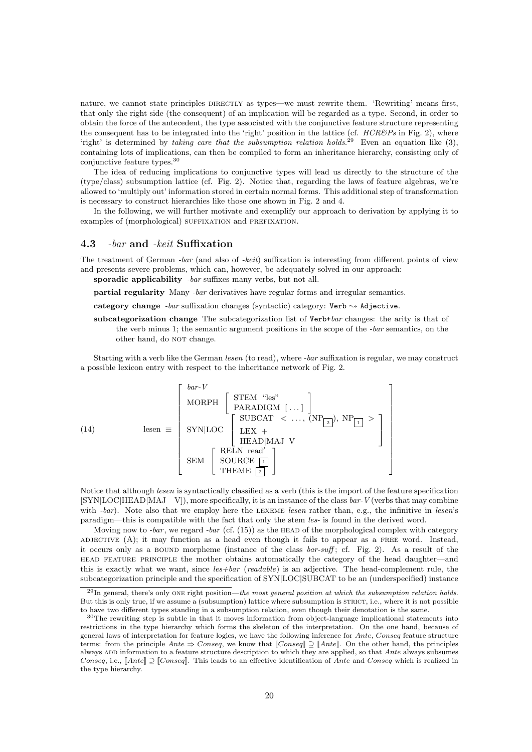nature, we cannot state principles DIRECTLY as types—we must rewrite them. 'Rewriting' means first, that only the right side (the consequent) of an implication will be regarded as a type. Second, in order to obtain the force of the antecedent, the type associated with the conjunctive feature structure representing the consequent has to be integrated into the 'right' position in the lattice (cf.  $HCR\&Ps$  in Fig. 2), where 'right' is determined by taking care that the subsumption relation holds.<sup>29</sup> Even an equation like (3), containing lots of implications, can then be compiled to form an inheritance hierarchy, consisting only of conjunctive feature types.<sup>30</sup>

The idea of reducing implications to conjunctive types will lead us directly to the structure of the (type/class) subsumption lattice (cf. Fig. 2). Notice that, regarding the laws of feature algebras, we're allowed to 'multiply out' information stored in certain normal forms. This additional step of transformation is necessary to construct hierarchies like those one shown in Fig. 2 and 4.

In the following, we will further motivate and exemplify our approach to derivation by applying it to examples of (morphological) SUFFIXATION and PREFIXATION.

## 4.3 -bar and -keit Suffixation

The treatment of German -bar (and also of -keit) suffixation is interesting from different points of view and presents severe problems, which can, however, be adequately solved in our approach:

sporadic applicability -bar suffixes many verbs, but not all.

partial regularity Many -bar derivatives have regular forms and irregular semantics.

category change -bar suffixation changes (syntactic) category: Verb  $\sim$  Adjective.

subcategorization change The subcategorization list of Verb+bar changes: the arity is that of the verb minus 1; the semantic argument positions in the scope of the -bar semantics, on the other hand, do NOT change.

Starting with a verb like the German lesen (to read), where -bar suffixation is regular, we may construct a possible lexicon entry with respect to the inheritance network of Fig. 2.



Notice that although lesen is syntactically classified as a verb (this is the import of the feature specification [SYN|LOC|HEAD|MAJ V]), more specifically, it is an instance of the class bar-V (verbs that may combine with -bar). Note also that we employ here the LEXEME lesen rather than, e.g., the infinitive in lesen's paradigm—this is compatible with the fact that only the stem les- is found in the derived word.

Moving now to -bar, we regard -bar (cf.  $(15)$ ) as the HEAD of the morphological complex with category ADJECTIVE  $(A)$ ; it may function as a head even though it fails to appear as a FREE word. Instead, it occurs only as a BOUND morpheme (instance of the class bar-suff; cf. Fig. 2). As a result of the head feature principle the mother obtains automatically the category of the head daughter—and this is exactly what we want, since  $les+bar$  (readable) is an adjective. The head-complement rule, the subcategorization principle and the specification of SYN|LOC|SUBCAT to be an (underspecified) instance

 $^{29}$ In general, there's only ONE right position—the most general position at which the subsumption relation holds. But this is only true, if we assume a (subsumption) lattice where subsumption is STRICT, i.e., where it is not possible to have two different types standing in a subsumption relation, even though their denotation is the same.

<sup>30</sup>The rewriting step is subtle in that it moves information from object-language implicational statements into restrictions in the type hierarchy which forms the skeleton of the interpretation. On the one hand, because of general laws of interpretation for feature logics, we have the following inference for Ante, Conseq feature structure terms: from the principle Ante  $\Rightarrow$  Conseq, we know that  $[Conseq] \supseteq [Antel]$ . On the other hand, the principles always ADD information to a feature structure description to which they are applied, so that Ante always subsumes Conseq, i.e.,  $[\text{Ante}] \supset [\text{Conseq}].$  This leads to an effective identification of Ante and Conseq which is realized in the type hierarchy.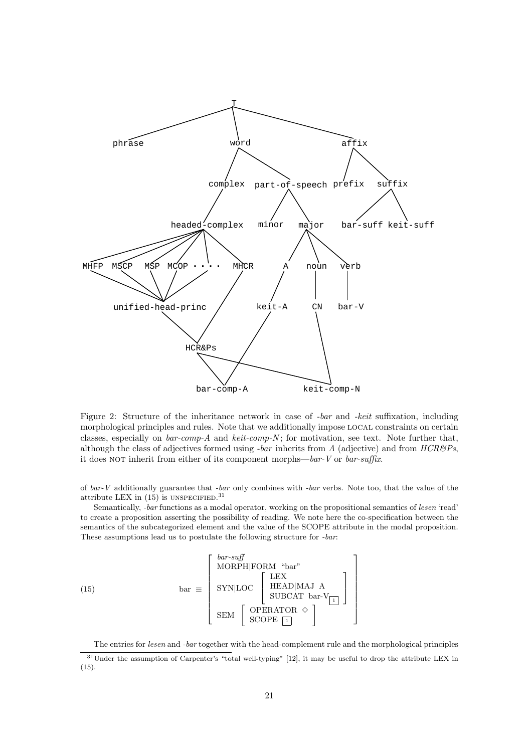

Figure 2: Structure of the inheritance network in case of *-bar* and *-keit* suffixation, including morphological principles and rules. Note that we additionally impose local constraints on certain classes, especially on  $bar-comp-A$  and  $keit-comp-N$ ; for motivation, see text. Note further that, although the class of adjectives formed using -bar inherits from A (adjective) and from  $HCR\&Ps$ , it does NOT inherit from either of its component morphs—bar-V or bar-suffix.

of  $bar-V$  additionally guarantee that -bar only combines with -bar verbs. Note too, that the value of the attribute LEX in  $(15)$  is UNSPECIFIED.<sup>31</sup>

Semantically, -bar functions as a modal operator, working on the propositional semantics of lesen 'read' to create a proposition asserting the possibility of reading. We note here the co-specification between the semantics of the subcategorized element and the value of the SCOPE attribute in the modal proposition. These assumptions lead us to postulate the following structure for -bar:

(15) 
$$
\text{bar} \equiv \left[ \begin{array}{c} bar-suff \\ \text{MORPH}|\text{FORM "bar"} \\ \text{SYN}|\text{LOC} \left[ \begin{array}{c} \text{LEX} \\ \text{HEAD}|\text{MAJ A} \\ \text{SUBCAT bar-V}_{11} \end{array} \right] \\ \text{SEM} \left[ \begin{array}{c} \text{OPERATOR} \\ \text{OPERATOR} \end{array} \right] \right]
$$

The entries for lesen and -bar together with the head-complement rule and the morphological principles

<sup>&</sup>lt;sup>31</sup>Under the assumption of Carpenter's "total well-typing" [12], it may be useful to drop the attribute LEX in (15).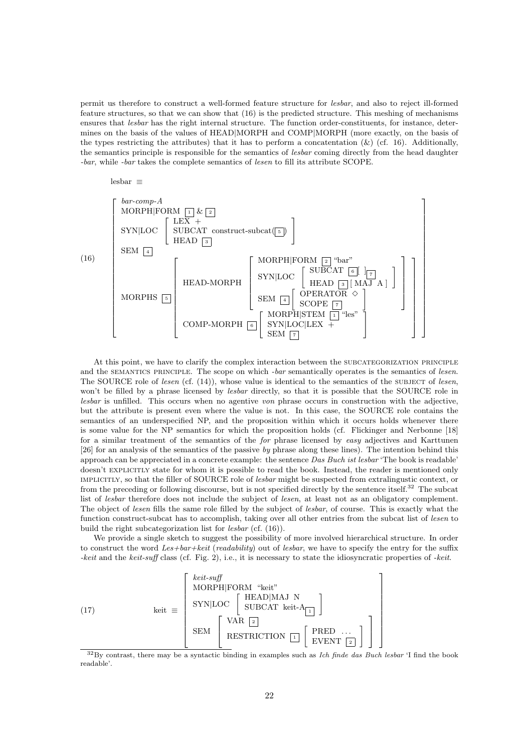permit us therefore to construct a well-formed feature structure for lesbar, and also to reject ill-formed feature structures, so that we can show that (16) is the predicted structure. This meshing of mechanisms ensures that lesbar has the right internal structure. The function order-constituents, for instance, determines on the basis of the values of HEAD|MORPH and COMP|MORPH (more exactly, on the basis of the types restricting the attributes) that it has to perform a concatentation  $(k)$  (cf. 16). Additionally, the semantics principle is responsible for the semantics of lesbar coming directly from the head daughter -bar, while -bar takes the complete semantics of lesen to fill its attribute SCOPE.



At this point, we have to clarify the complex interaction between the SUBCATEGORIZATION PRINCIPLE and the SEMANTICS PRINCIPLE. The scope on which -bar semantically operates is the semantics of lesen. The SOURCE role of lesen (cf.  $(14)$ ), whose value is identical to the semantics of the SUBJECT of lesen, won't be filled by a phrase licensed by *lesbar* directly, so that it is possible that the SOURCE role in lesbar is unfilled. This occurs when no agentive von phrase occurs in construction with the adjective, but the attribute is present even where the value is not. In this case, the SOURCE role contains the semantics of an underspecified NP, and the proposition within which it occurs holds whenever there is some value for the NP semantics for which the proposition holds (cf. Flickinger and Nerbonne [18] for a similar treatment of the semantics of the *for* phrase licensed by easy adjectives and Karttunen [26] for an analysis of the semantics of the passive by phrase along these lines). The intention behind this approach can be appreciated in a concrete example: the sentence Das Buch ist lesbar 'The book is readable' doesn't EXPLICITLY state for whom it is possible to read the book. Instead, the reader is mentioned only implicitly, so that the filler of SOURCE role of lesbar might be suspected from extralingustic context, or from the preceding or following discourse, but is not specified directly by the sentence itself.<sup>32</sup> The subcat list of *lesbar* therefore does not include the subject of *lesen*, at least not as an obligatory complement. The object of lesen fills the same role filled by the subject of lesbar, of course. This is exactly what the function construct-subcat has to accomplish, taking over all other entries from the subcat list of lesen to build the right subcategorization list for lesbar (cf. (16)).

We provide a single sketch to suggest the possibility of more involved hierarchical structure. In order to construct the word Les+bar+keit (readability) out of lesbar, we have to specify the entry for the suffix -keit and the keit-suff class (cf. Fig. 2), i.e., it is necessary to state the idiosyncratic properties of -keit.



<sup>&</sup>lt;sup>32</sup>By contrast, there may be a syntactic binding in examples such as Ich finde das Buch lesbar 'I find the book readable'.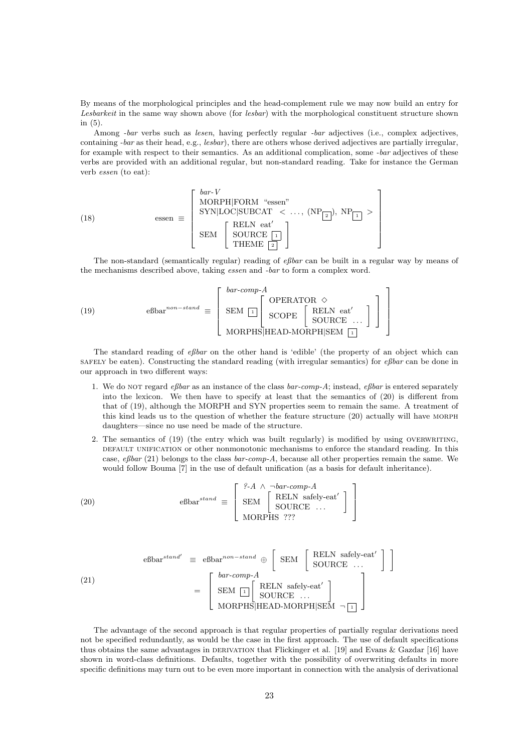By means of the morphological principles and the head-complement rule we may now build an entry for Lesbarkeit in the same way shown above (for lesbar) with the morphological constituent structure shown in (5).

Among -bar verbs such as *lesen*, having perfectly regular -bar adjectives (i.e., complex adjectives, containing -bar as their head, e.g., lesbar), there are others whose derived adjectives are partially irregular, for example with respect to their semantics. As an additional complication, some -bar adjectives of these verbs are provided with an additional regular, but non-standard reading. Take for instance the German verb essen (to eat):

(18) 
$$
\text{essen } \equiv \left[ \begin{array}{c} bar-V \\ \text{MORPH}|\text{FORM "essen"} \\ \text{SYN}|\text{LOC}|\text{SUBCAT } < \dots, \text{ (NP}_{\boxed{2}}), \text{ NP}_{\boxed{1}} > \\ \text{SEM } \left[ \begin{array}{c} \text{RELN eat'} \\ \text{SOURCE } \boxed{1} \\ \text{THEME } \boxed{2} \end{array} \right] \end{array} \right]
$$

The non-standard (semantically regular) reading of  $e\beta bar$  can be built in a regular way by means of the mechanisms described above, taking essen and -bar to form a complex word.

(19) 
$$
e^{\beta \text{bar}^{non-standard}} \equiv \begin{bmatrix} bar-comp-A \\ SEM \boxed{1} \\ SOOPE \end{bmatrix} \begin{bmatrix} OPERATOR & \diamond \\ SCOPE \end{bmatrix} \begin{bmatrix} RELN \text{ eat}' \\ SOURE \dots \end{bmatrix}
$$
 
$$
MORPHS|HEAD-MORPH|SEM \boxed{1}
$$

The standard reading of eßbar on the other hand is 'edible' (the property of an object which can safely be eaten). Constructing the standard reading (with irregular semantics) for eßbar can be done in our approach in two different ways:

- 1. We do NOT regard eßbar as an instance of the class bar-comp-A; instead, eßbar is entered separately into the lexicon. We then have to specify at least that the semantics of (20) is different from that of (19), although the MORPH and SYN properties seem to remain the same. A treatment of this kind leads us to the question of whether the feature structure (20) actually will have morph daughters—since no use need be made of the structure.
- 2. The semantics of (19) (the entry which was built regularly) is modified by using overwriting, default unification or other nonmonotonic mechanisms to enforce the standard reading. In this case,  $e\beta bar$  (21) belongs to the class *bar-comp-A*, because all other properties remain the same. We would follow Bouma [7] in the use of default unification (as a basis for default inheritance).

(20) 
$$
e^{\beta \tan^{stand}} \equiv \begin{bmatrix} ?\text{-}A \land \neg bar\text{-}comp\text{-}A \\ \text{SEM} \\ \text{SOURCE} \\ \text{MORPHS} ??? \end{bmatrix}
$$

(21)  
\n
$$
e^{\beta \arctan a'} = e^{\beta \arctan a} \oplus \left[ \text{SEM} \left[ \text{RELN} \text{ safely-eat}' \right] \right]
$$
\n
$$
= \left[ \text{Bar-comp-A} \left[ \text{RELN} \text{ safely-eat}' \right] \text{SOURCE} \dots \right]
$$
\n
$$
= \left[ \text{SEM} \left[ \text{RELN} \text{ safely-eat}' \right] \text{SOURCE} \dots \text{MORPHS|HEAD-MORPH|SEM} \right]
$$

The advantage of the second approach is that regular properties of partially regular derivations need not be specified redundantly, as would be the case in the first approach. The use of default specifications thus obtains the same advantages in derivation that Flickinger et al. [19] and Evans & Gazdar [16] have shown in word-class definitions. Defaults, together with the possibility of overwriting defaults in more specific definitions may turn out to be even more important in connection with the analysis of derivational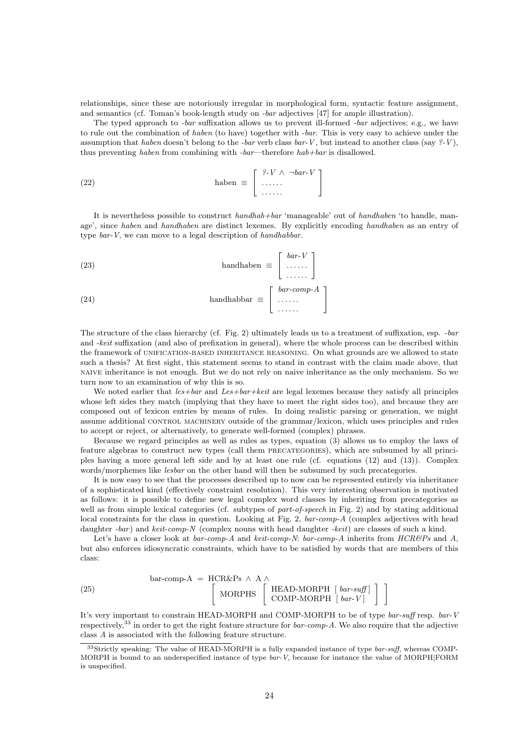relationships, since these are notoriously irregular in morphological form, syntactic feature assignment, and semantics (cf. Toman's book-length study on -bar adjectives [47] for ample illustration).

The typed approach to *-bar* suffixation allows us to prevent ill-formed *-bar* adjectives; e.g., we have to rule out the combination of haben (to have) together with -bar. This is very easy to achieve under the assumption that haben doesn't belong to the -bar verb class bar-V, but instead to another class (say  $\ell$ -V), thus preventing haben from combining with  $-bar$ —therefore hab $+bar$  is disallowed.

(22) 
$$
\text{haben} \equiv \begin{bmatrix} \frac{\varphi_{\text{-}} V \wedge \neg \text{bar-} V}{\cdots} \\ \cdots \cdots \end{bmatrix}
$$

It is nevertheless possible to construct  $\text{handhab} + \text{bar}'$  'manageable' out of  $\text{handhaben}'$  to handle, manage', since haben and handhaben are distinct lexemes. By explicitly encoding handhaben as an entry of type bar-V, we can move to a legal description of handhabbar.

(23) 
$$
\text{handhaben} \equiv \begin{bmatrix} bar-V \\ \dots \\ \dots \end{bmatrix}
$$
  
(24) 
$$
\text{handhabbar} \equiv \begin{bmatrix} bar-comp-A \\ \dots \\ \dots \end{bmatrix}
$$

The structure of the class hierarchy (cf. Fig. 2) ultimately leads us to a treatment of suffixation, esp. -bar and -keit suffixation (and also of prefixation in general), where the whole process can be described within the framework of UNIFICATION-BASED INHERITANCE REASONING. On what grounds are we allowed to state such a thesis? At first sight, this statement seems to stand in contrast with the claim made above, that naive inheritance is not enough. But we do not rely on naive inheritance as the only mechanism. So we turn now to an examination of why this is so.

We noted earlier that  $les+bar$  and  $Les+bar+keit$  are legal lexemes because they satisfy all principles whose left sides they match (implying that they have to meet the right sides too), and because they are composed out of lexicon entries by means of rules. In doing realistic parsing or generation, we might assume additional CONTROL MACHINERY outside of the grammar/lexicon, which uses principles and rules to accept or reject, or alternatively, to generate well-formed (complex) phrases.

Because we regard principles as well as rules as types, equation (3) allows us to employ the laws of feature algebras to construct new types (call them precategories), which are subsumed by all principles having a more general left side and by at least one rule (cf. equations (12) and (13)). Complex words/morphemes like lesbar on the other hand will then be subsumed by such precategories.

It is now easy to see that the processes described up to now can be represented entirely via inheritance of a sophisticated kind (effectively constraint resolution). This very interesting observation is motivated as follows: it is possible to define new legal complex word classes by inheriting from precategories as well as from simple lexical categories (cf. subtypes of part-of-speech in Fig. 2) and by stating additional local constraints for the class in question. Looking at Fig. 2, bar-comp-A (complex adjectives with head daughter -bar) and keit-comp-N (complex nouns with head daughter -keit) are classes of such a kind.

Let's have a closer look at *bar-comp-A* and *keit-comp-N: bar-comp-A* inherits from  $HCR\&Ps$  and A, but also enforces idiosyncratic constraints, which have to be satisfied by words that are members of this class:

$$
\text{(25)} \quad\n \text{bar-comp-A = HCR&Ps \land A \land}\n \left[\n \begin{array}{c}\n \text{HEAD-MORPH} \left[ \text{ bar-suff} \right] \\
 \text{MORPHS} \left[ \text{ HEAD-MORPH} \left[ \text{ bar-V} \right] \right]\n \end{array}\n \right]
$$

It's very important to constrain HEAD-MORPH and COMP-MORPH to be of type bar-suff resp. bar-V respectively, $33$  in order to get the right feature structure for  $bar-comp-A$ . We also require that the adjective class A is associated with the following feature structure.

<sup>&</sup>lt;sup>33</sup>Strictly speaking: The value of HEAD-MORPH is a fully expanded instance of type bar-suff, whereas COMP-MORPH is bound to an underspecified instance of type bar-V, because for instance the value of MORPH|FORM is unspecified.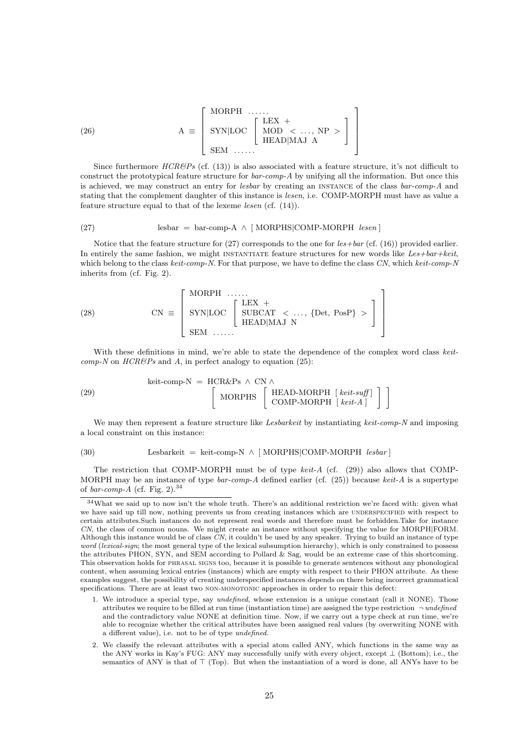A ≡ MORPH . . . . . . SYN|LOC " LEX + MOD < . . . , NP > HEAD|MAJ A # SEM . . . . . . (26)

Since furthermore  $HCR\&Ps$  (cf. (13)) is also associated with a feature structure, it's not difficult to construct the prototypical feature structure for bar-comp-A by unifying all the information. But once this is achieved, we may construct an entry for lesbar by creating an INSTANCE of the class bar-comp-A and stating that the complement daughter of this instance is lesen, i.e. COMP-MORPH must have as value a feature structure equal to that of the lexeme lesen (cf. (14)).

#### (27) lesbar = bar-comp-A  $\land$  [MORPHS|COMP-MORPH *lesen*]

Notice that the feature structure for (27) corresponds to the one for  $les+bar$  (cf. (16)) provided earlier. In entirely the same fashion, we might INSTANTIATE feature structures for new words like  $Les + bar +keit$ , which belong to the class keit-comp-N. For that purpose, we have to define the class CN, which keit-comp-N inherits from (cf. Fig. 2).

(28) 
$$
CN \equiv \left[ \begin{array}{ccc} \text{MORPH} & \dots & \dots & \text{NPR} \\ \text{SYN}|\text{LOC} & \text{SUBCAT} < \dots & \text{NPE}, \text{PosP} \\ \text{SEM} & \dots & \text{NPR} \end{array} \right]
$$

With these definitions in mind, we're able to state the dependence of the complex word class keit $comp-N$  on  $HCR\mathcal{B}Ps$  and A, in perfect analogy to equation (25):

$$
(29)
$$
keit-comp-N = HCR&Ps ∧ CN ∧  
OMPRS 
$$
\begin{bmatrix} \text{HEAD-MORPH} & [keit-suff] \\ \text{COMP-MORPH} & [keit-A] \end{bmatrix}
$$

We may then represent a feature structure like Lesbarkeit by instantiating keit-comp-N and imposing a local constraint on this instance:

#### (30) Lesbarkeit = keit-comp-N  $\land$  [MORPHS|COMP-MORPH lesbar]

The restriction that COMP-MORPH must be of type keit-A (cf. (29)) also allows that COMP-MORPH may be an instance of type  $bar-comp-A$  defined earlier (cf. (25)) because keit-A is a supertype of bar-comp-A (cf. Fig. 2).<sup>34</sup>

<sup>34</sup>What we said up to now isn't the whole truth. There's an additional restriction we're faced with: given what we have said up till now, nothing prevents us from creating instances which are UNDERSPECIFIED with respect to certain attributes.Such instances do not represent real words and therefore must be forbidden.Take for instance CN, the class of common nouns. We might create an instance without specifying the value for MORPH|FORM. Although this instance would be of class CN, it couldn't be used by any speaker. Trying to build an instance of type word (lexical-sign; the most general type of the lexical subsumption hierarchy), which is only constrained to possess the attributes PHON, SYN, and SEM according to Pollard & Sag, would be an extreme case of this shortcoming. This observation holds for phrasal signs too, because it is possible to generate sentences without any phonological content, when assuming lexical entries (instances) which are empty with respect to their PHON attribute. As these examples suggest, the possibility of creating underspecified instances depends on there being incorrect grammatical specifications. There are at least two non-monotonic approaches in order to repair this defect:

<sup>1.</sup> We introduce a special type, say undefined, whose extension is a unique constant (call it NONE). Those attributes we require to be filled at run time (instantiation time) are assigned the type restriction  $\neg$  undefined and the contradictory value NONE at definition time. Now, if we carry out a type check at run time, we're able to recognize whether the critical attributes have been assigned real values (by overwriting NONE with a different value), i.e. not to be of type undefined.

<sup>2.</sup> We classify the relevant attributes with a special atom called ANY, which functions in the same way as the ANY works in Kay's FUG: ANY may successfully unify with every object, except ⊥ (Bottom); i.e., the semantics of ANY is that of  $\top$  (Top). But when the instantiation of a word is done, all ANYs have to be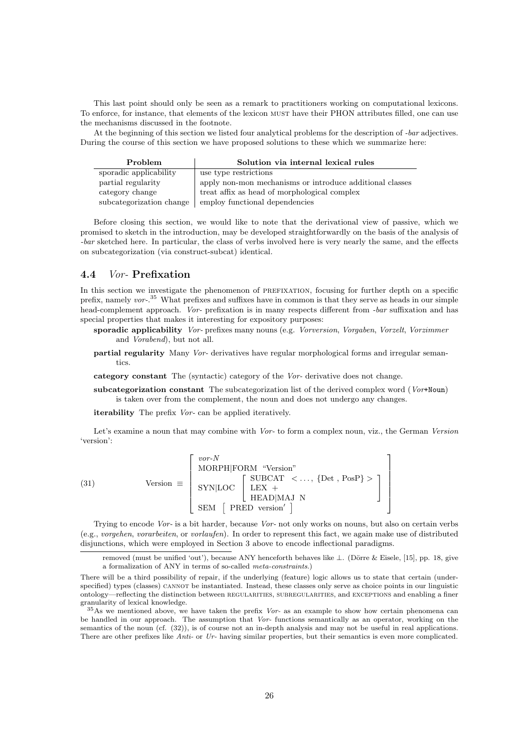This last point should only be seen as a remark to practitioners working on computational lexicons. To enforce, for instance, that elements of the lexicon must have their PHON attributes filled, one can use the mechanisms discussed in the footnote.

At the beginning of this section we listed four analytical problems for the description of -bar adjectives. During the course of this section we have proposed solutions to these which we summarize here:

| Problem                  | Solution via internal lexical rules                                                           |
|--------------------------|-----------------------------------------------------------------------------------------------|
| sporadic applicability   | use type restrictions                                                                         |
| partial regularity       | apply non-mon mechanisms or introduce additional classes                                      |
| category change          | $% \left\langle \cdot ,\cdot \right\rangle _{0}$ treat affix as head of morphological complex |
| subcategorization change | employ functional dependencies                                                                |

Before closing this section, we would like to note that the derivational view of passive, which we promised to sketch in the introduction, may be developed straightforwardly on the basis of the analysis of -bar sketched here. In particular, the class of verbs involved here is very nearly the same, and the effects on subcategorization (via construct-subcat) identical.

#### 4.4 Vor- Prefixation

In this section we investigate the phenomenon of PREFIXATION, focusing for further depth on a specific prefix, namely vor-.<sup>35</sup> What prefixes and suffixes have in common is that they serve as heads in our simple head-complement approach. Vor- prefixation is in many respects different from -bar suffixation and has special properties that makes it interesting for expository purposes:

sporadic applicability Vor- prefixes many nouns (e.g. Vorversion, Vorgaben, Vorzelt, Vorzimmer and Vorabend), but not all.

partial regularity Many Vor- derivatives have regular morphological forms and irregular semantics.

category constant The (syntactic) category of the Vor- derivative does not change.

subcategorization constant The subcategorization list of the derived complex word ( $Vor+Now$ ) is taken over from the complement, the noun and does not undergo any changes.

iterability The prefix Vor- can be applied iteratively.

Let's examine a noun that may combine with *Vor*- to form a complex noun, viz., the German *Version* 'version':

(31) 
$$
\text{Version} \equiv \left[\begin{array}{c} vor\text{-}N \\ \text{MORPH}|\text{FORM "Version"} \\ \text{SYN}|\text{LOC} \\ \text{SEM} \left[\begin{array}{c} \text{SUBCAT} < \dots, \{\text{Det }, \text{PosP}\} > \\ \text{LEX} + \\ \text{HEAD}|\text{MAJ }\text{N} \\ \end{array}\right]\end{array}\right]
$$

Trying to encode Vor- is a bit harder, because Vor- not only works on nouns, but also on certain verbs (e.g., vorgehen, vorarbeiten, or vorlaufen). In order to represent this fact, we again make use of distributed disjunctions, which were employed in Section 3 above to encode inflectional paradigms.

removed (must be unified 'out'), because ANY henceforth behaves like ⊥. (Dörre & Eisele, [15], pp. 18, give a formalization of ANY in terms of so-called meta-constraints.)

There will be a third possibility of repair, if the underlying (feature) logic allows us to state that certain (underspecified) types (classes) CANNOT be instantiated. Instead, these classes only serve as choice points in our linguistic ontology—reflecting the distinction between regularities, subregularities, and exceptions and enabling a finer granularity of lexical knowledge.

<sup>&</sup>lt;sup>35</sup>As we mentioned above, we have taken the prefix *Vor*- as an example to show how certain phenomena can be handled in our approach. The assumption that Vor- functions semantically as an operator, working on the semantics of the noun (cf.  $(32)$ ), is of course not an in-depth analysis and may not be useful in real applications. There are other prefixes like Anti- or Ur- having similar properties, but their semantics is even more complicated.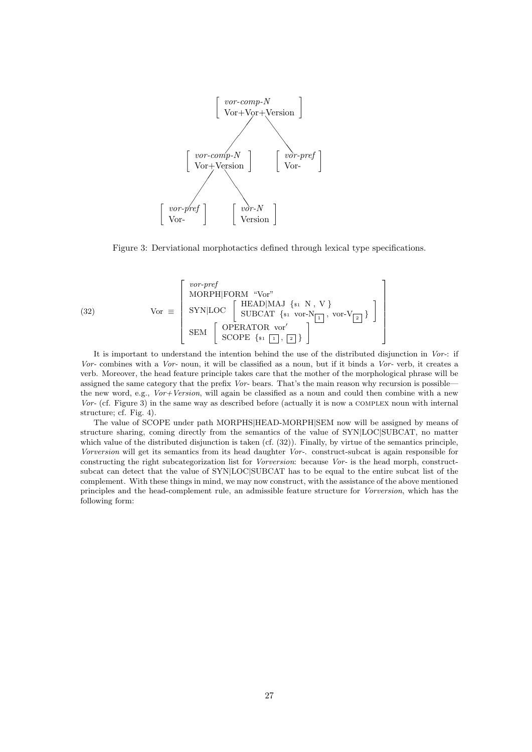

Figure 3: Derviational morphotactics defined through lexical type specifications.

(32) 
$$
\text{Vor} \equiv \left[ \begin{array}{c} \text{vor-pref} \\ \text{MORPH}|\text{FORM } \text{``Vor''} \\ \text{SYN}|\text{LOC} \left[ \begin{array}{c} \text{HEAD}|\text{MAJ} \{ \text{s}_1 \text{ N}, \text{ V} \} \\ \text{SUBCAT} \{ \text{s}_1 \text{ vor-N}_{1} \} \end{array} \right] \\ \text{SEM} \left[ \begin{array}{c} \text{OPERATOR } \text{vor'} \\ \text{SCOPE} \{ \text{s}_1 \text{ 1} \} \end{array} \right] \end{array} \right]
$$

It is important to understand the intention behind the use of the distributed disjunction in Vor-: if Vor- combines with a Vor- noun, it will be classified as a noun, but if it binds a Vor- verb, it creates a verb. Moreover, the head feature principle takes care that the mother of the morphological phrase will be assigned the same category that the prefix Vor- bears. That's the main reason why recursion is possible the new word, e.g.,  $Vor+Version$ , will again be classified as a noun and could then combine with a new Vor- (cf. Figure 3) in the same way as described before (actually it is now a complex noun with internal structure; cf. Fig. 4).

The value of SCOPE under path MORPHS|HEAD-MORPH|SEM now will be assigned by means of structure sharing, coming directly from the semantics of the value of SYN|LOC|SUBCAT, no matter which value of the distributed disjunction is taken (cf.  $(32)$ ). Finally, by virtue of the semantics principle, Vorversion will get its semantics from its head daughter Vor-. construct-subcat is again responsible for constructing the right subcategorization list for Vorversion: because Vor- is the head morph, constructsubcat can detect that the value of SYN|LOC|SUBCAT has to be equal to the entire subcat list of the complement. With these things in mind, we may now construct, with the assistance of the above mentioned principles and the head-complement rule, an admissible feature structure for Vorversion, which has the following form: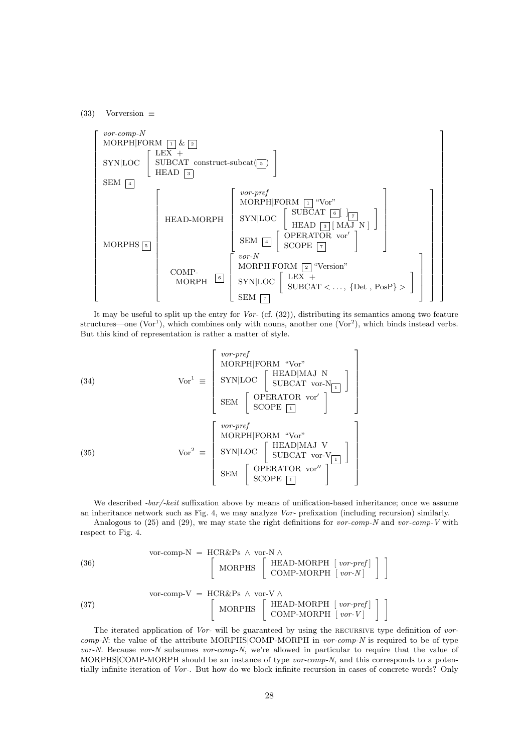(33) Vorversion  $\equiv$ 



It may be useful to split up the entry for  $Vor-$  (cf.  $(32)$ ), distributing its semantics among two feature structures—one ( $Vor<sup>1</sup>$ ), which combines only with nouns, another one ( $Vor<sup>2</sup>$ ), which binds instead verbs. But this kind of representation is rather a matter of style.

(34)  
\n
$$
\text{Vor}^{1} \equiv\n\begin{bmatrix}\nvor-pref \\
MORPH|FORM \text{ "Vor"} \\
SYN|LOC \begin{bmatrix}\nHEAD|MAJ \text{ N} \\
SUBCAT \text{ vor-N}_{1} \\
SCOPE \text{ L}\n\end{bmatrix}\n\end{bmatrix}
$$
\n
$$
\text{SEM}\begin{bmatrix}\nOPERATOR \text{ vor}' \\
SCOPE \text{ L}\n\end{bmatrix}
$$
\n(35)  
\n
$$
\text{Vor}^{2} \equiv\n\begin{bmatrix}\nvor-pref \\
MORPH|FORM \text{ "Vor"} \\
SYN|LOC \begin{bmatrix}\nHEAD|MAJ \text{ V} \\
SUBCAT \text{ vor-N}_{1} \\
SCOPE \text{ L}\n\end{bmatrix}\n\end{bmatrix}
$$

We described -bar/-keit suffixation above by means of unification-based inheritance; once we assume an inheritance network such as Fig. 4, we may analyze Vor- prefixation (including recursion) similarly.

Analogous to  $(25)$  and  $(29)$ , we may state the right definitions for vor-comp-N and vor-comp-V with respect to Fig. 4.

(36)  
\n
$$
\text{vor-comp-N} = \text{HCR&Ps} \land \text{vor-N} \land
$$
\n
$$
\left[\begin{array}{c}\text{MORPHS} \\ \text{OMP-MORPH} \left[\begin{array}{c}\text{WORPHS} \\ \text{COMP-MORPH} \left[\begin{array}{c}\text{vor-} \text{pref} \end{array}\right] \end{array}\right] \right]
$$
\n
$$
\text{vor-comp-V} = \text{HCR&Ps} \land \text{vor-V} \land
$$
\n
$$
\left[\begin{array}{c}\text{MORPHS} \\ \text{OMP-MORPH} \left[\begin{array}{c}\text{vor-} \text{pref} \end{array}\right] \\ \text{COMP-MORPH} \left[\begin{array}{c}\text{vor-} \text{pref} \end{array}\right] \end{array}\right]
$$

The iterated application of Vor- will be guaranteed by using the RECURSIVE type definition of vorcomp-N: the value of the attribute MORPHS|COMP-MORPH in vor-comp-N is required to be of type vor-N. Because vor-N subsumes vor-comp-N, we're allowed in particular to require that the value of MORPHS|COMP-MORPH should be an instance of type vor-comp-N, and this corresponds to a potentially infinite iteration of Vor-. But how do we block infinite recursion in cases of concrete words? Only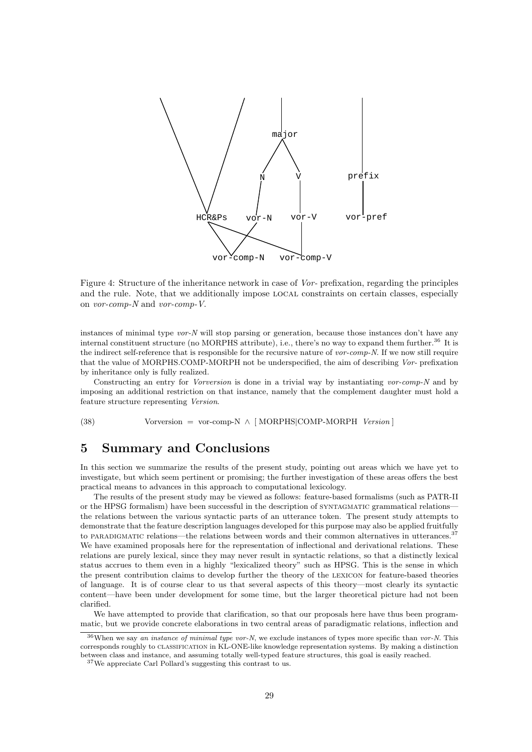

Figure 4: Structure of the inheritance network in case of Vor- prefixation, regarding the principles and the rule. Note, that we additionally impose local constraints on certain classes, especially on vor-comp-N and vor-comp-V.

instances of minimal type vor-N will stop parsing or generation, because those instances don't have any internal constituent structure (no MORPHS attribute), i.e., there's no way to expand them further.<sup>36</sup> It is the indirect self-reference that is responsible for the recursive nature of vor-comp-N. If we now still require that the value of MORPHS.COMP-MORPH not be underspecified, the aim of describing Vor- prefixation by inheritance only is fully realized.

Constructing an entry for *Vorversion* is done in a trivial way by instantiating vor-comp-N and by imposing an additional restriction on that instance, namely that the complement daughter must hold a feature structure representing Version.

(38) Vorversion = vor-comp-N  $\land$  [MORPHS|COMP-MORPH Version]

# 5 Summary and Conclusions

In this section we summarize the results of the present study, pointing out areas which we have yet to investigate, but which seem pertinent or promising; the further investigation of these areas offers the best practical means to advances in this approach to computational lexicology.

The results of the present study may be viewed as follows: feature-based formalisms (such as PATR-II or the HPSG formalism) have been successful in the description of SYNTAGMATIC grammatical relations the relations between the various syntactic parts of an utterance token. The present study attempts to demonstrate that the feature description languages developed for this purpose may also be applied fruitfully to PARADIGMATIC relations—the relations between words and their common alternatives in utterances.<sup>37</sup> We have examined proposals here for the representation of inflectional and derivational relations. These relations are purely lexical, since they may never result in syntactic relations, so that a distinctly lexical status accrues to them even in a highly "lexicalized theory" such as HPSG. This is the sense in which the present contribution claims to develop further the theory of the lexicon for feature-based theories of language. It is of course clear to us that several aspects of this theory—most clearly its syntactic content—have been under development for some time, but the larger theoretical picture had not been clarified.

We have attempted to provide that clarification, so that our proposals here have thus been programmatic, but we provide concrete elaborations in two central areas of paradigmatic relations, inflection and

<sup>&</sup>lt;sup>36</sup>When we say an instance of minimal type vor-N, we exclude instances of types more specific than vor-N. This corresponds roughly to classification in KL-ONE-like knowledge representation systems. By making a distinction between class and instance, and assuming totally well-typed feature structures, this goal is easily reached.

<sup>37</sup>We appreciate Carl Pollard's suggesting this contrast to us.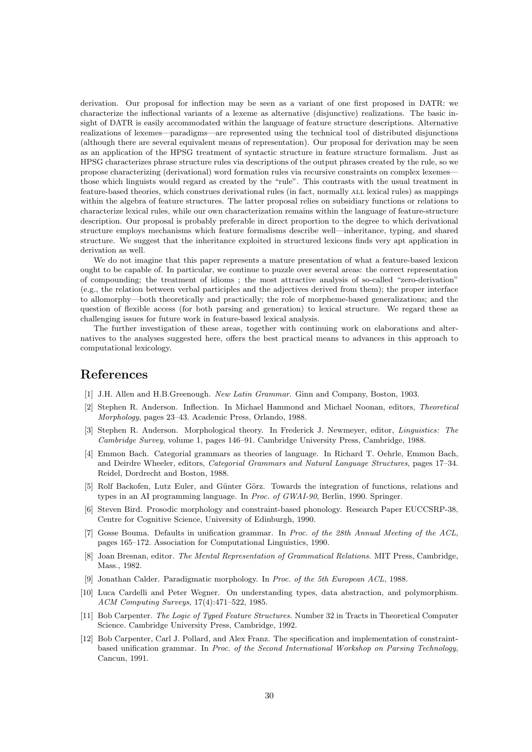derivation. Our proposal for inflection may be seen as a variant of one first proposed in DATR: we characterize the inflectional variants of a lexeme as alternative (disjunctive) realizations. The basic insight of DATR is easily accommodated within the language of feature structure descriptions. Alternative realizations of lexemes—paradigms—are represented using the technical tool of distributed disjunctions (although there are several equivalent means of representation). Our proposal for derivation may be seen as an application of the HPSG treatment of syntactic structure in feature structure formalism. Just as HPSG characterizes phrase structure rules via descriptions of the output phrases created by the rule, so we propose characterizing (derivational) word formation rules via recursive constraints on complex lexemes those which linguists would regard as created by the "rule". This contrasts with the usual treatment in feature-based theories, which construes derivational rules (in fact, normally ALL lexical rules) as mappings within the algebra of feature structures. The latter proposal relies on subsidiary functions or relations to characterize lexical rules, while our own characterization remains within the language of feature-structure description. Our proposal is probably preferable in direct proportion to the degree to which derivational structure employs mechanisms which feature formalisms describe well—inheritance, typing, and shared structure. We suggest that the inheritance exploited in structured lexicons finds very apt application in derivation as well.

We do not imagine that this paper represents a mature presentation of what a feature-based lexicon ought to be capable of. In particular, we continue to puzzle over several areas: the correct representation of compounding; the treatment of idioms ; the most attractive analysis of so-called "zero-derivation" (e.g., the relation between verbal participles and the adjectives derived from them); the proper interface to allomorphy—both theoretically and practically; the role of morpheme-based generalizations; and the question of flexible access (for both parsing and generation) to lexical structure. We regard these as challenging issues for future work in feature-based lexical analysis.

The further investigation of these areas, together with continuing work on elaborations and alternatives to the analyses suggested here, offers the best practical means to advances in this approach to computational lexicology.

## References

- [1] J.H. Allen and H.B.Greenough. New Latin Grammar. Ginn and Company, Boston, 1903.
- [2] Stephen R. Anderson. Inflection. In Michael Hammond and Michael Noonan, editors, Theoretical Morphology, pages 23–43. Academic Press, Orlando, 1988.
- [3] Stephen R. Anderson. Morphological theory. In Frederick J. Newmeyer, editor, Linguistics: The Cambridge Survey, volume 1, pages 146–91. Cambridge University Press, Cambridge, 1988.
- [4] Emmon Bach. Categorial grammars as theories of language. In Richard T. Oehrle, Emmon Bach, and Deirdre Wheeler, editors, Categorial Grammars and Natural Language Structures, pages 17–34. Reidel, Dordrecht and Boston, 1988.
- [5] Rolf Backofen, Lutz Euler, and Günter Görz. Towards the integration of functions, relations and types in an AI programming language. In Proc. of GWAI-90, Berlin, 1990. Springer.
- [6] Steven Bird. Prosodic morphology and constraint-based phonology. Research Paper EUCCSRP-38, Centre for Cognitive Science, University of Edinburgh, 1990.
- [7] Gosse Bouma. Defaults in unification grammar. In Proc. of the 28th Annual Meeting of the ACL, pages 165–172. Association for Computational Linguistics, 1990.
- [8] Joan Bresnan, editor. The Mental Representation of Grammatical Relations. MIT Press, Cambridge, Mass., 1982.
- [9] Jonathan Calder. Paradigmatic morphology. In Proc. of the 5th European ACL, 1988.
- [10] Luca Cardelli and Peter Wegner. On understanding types, data abstraction, and polymorphism. ACM Computing Surveys, 17(4):471–522, 1985.
- [11] Bob Carpenter. The Logic of Typed Feature Structures. Number 32 in Tracts in Theoretical Computer Science. Cambridge University Press, Cambridge, 1992.
- [12] Bob Carpenter, Carl J. Pollard, and Alex Franz. The specification and implementation of constraintbased unification grammar. In Proc. of the Second International Workshop on Parsing Technology, Cancun, 1991.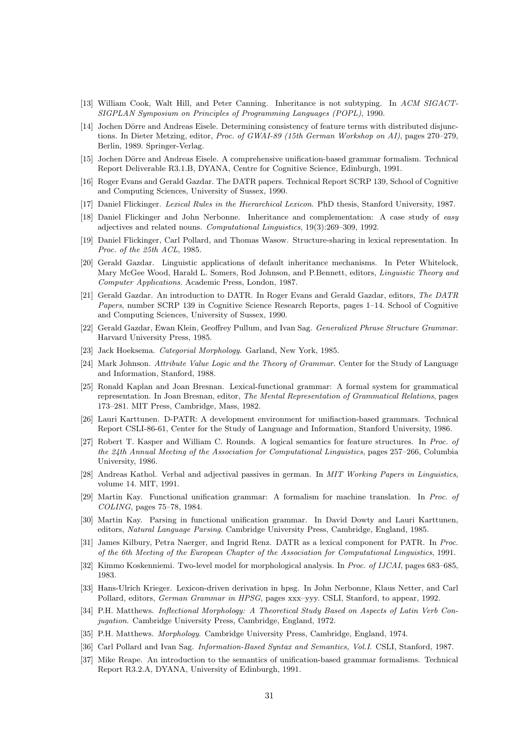- [13] William Cook, Walt Hill, and Peter Canning. Inheritance is not subtyping. In ACM SIGACT-SIGPLAN Symposium on Principles of Programming Languages (POPL), 1990.
- [14] Jochen Dörre and Andreas Eisele. Determining consistency of feature terms with distributed disjunctions. In Dieter Metzing, editor, Proc. of GWAI-89 (15th German Workshop on AI), pages 270–279, Berlin, 1989. Springer-Verlag.
- [15] Jochen Dörre and Andreas Eisele. A comprehensive unification-based grammar formalism. Technical Report Deliverable R3.1.B, DYANA, Centre for Cognitive Science, Edinburgh, 1991.
- [16] Roger Evans and Gerald Gazdar. The DATR papers. Technical Report SCRP 139, School of Cognitive and Computing Sciences, University of Sussex, 1990.
- [17] Daniel Flickinger. Lexical Rules in the Hierarchical Lexicon. PhD thesis, Stanford University, 1987.
- [18] Daniel Flickinger and John Nerbonne. Inheritance and complementation: A case study of easy adjectives and related nouns. Computational Linguistics, 19(3):269–309, 1992.
- [19] Daniel Flickinger, Carl Pollard, and Thomas Wasow. Structure-sharing in lexical representation. In Proc. of the 25th ACL, 1985.
- [20] Gerald Gazdar. Linguistic applications of default inheritance mechanisms. In Peter Whitelock, Mary McGee Wood, Harald L. Somers, Rod Johnson, and P.Bennett, editors, Linguistic Theory and Computer Applications. Academic Press, London, 1987.
- [21] Gerald Gazdar. An introduction to DATR. In Roger Evans and Gerald Gazdar, editors, The DATR Papers, number SCRP 139 in Cognitive Science Research Reports, pages 1–14. School of Cognitive and Computing Sciences, University of Sussex, 1990.
- [22] Gerald Gazdar, Ewan Klein, Geoffrey Pullum, and Ivan Sag. Generalized Phrase Structure Grammar. Harvard University Press, 1985.
- [23] Jack Hoeksema. Categorial Morphology. Garland, New York, 1985.
- [24] Mark Johnson. Attribute Value Logic and the Theory of Grammar. Center for the Study of Language and Information, Stanford, 1988.
- [25] Ronald Kaplan and Joan Bresnan. Lexical-functional grammar: A formal system for grammatical representation. In Joan Bresnan, editor, The Mental Representation of Grammatical Relations, pages 173–281. MIT Press, Cambridge, Mass, 1982.
- [26] Lauri Karttunen. D-PATR: A development environment for unifiaction-based grammars. Technical Report CSLI-86-61, Center for the Study of Language and Information, Stanford University, 1986.
- [27] Robert T. Kasper and William C. Rounds. A logical semantics for feature structures. In Proc. of the 24th Annual Meeting of the Association for Computational Linguistics, pages 257–266, Columbia University, 1986.
- [28] Andreas Kathol. Verbal and adjectival passives in german. In MIT Working Papers in Linguistics, volume 14. MIT, 1991.
- [29] Martin Kay. Functional unification grammar: A formalism for machine translation. In Proc. of COLING, pages 75–78, 1984.
- [30] Martin Kay. Parsing in functional unification grammar. In David Dowty and Lauri Karttunen, editors, Natural Language Parsing. Cambridge University Press, Cambridge, England, 1985.
- [31] James Kilbury, Petra Naerger, and Ingrid Renz. DATR as a lexical component for PATR. In Proc. of the 6th Meeting of the European Chapter of the Association for Computational Linguistics, 1991.
- [32] Kimmo Koskenniemi. Two-level model for morphological analysis. In Proc. of IJCAI, pages 683–685, 1983.
- [33] Hans-Ulrich Krieger. Lexicon-driven derivation in hpsg. In John Nerbonne, Klaus Netter, and Carl Pollard, editors, German Grammar in HPSG, pages xxx–yyy. CSLI, Stanford, to appear, 1992.
- [34] P.H. Matthews. Inflectional Morphology: A Theoretical Study Based on Aspects of Latin Verb Conjugation. Cambridge University Press, Cambridge, England, 1972.
- [35] P.H. Matthews. Morphology. Cambridge University Press, Cambridge, England, 1974.
- [36] Carl Pollard and Ivan Sag. Information-Based Syntax and Semantics, Vol.I. CSLI, Stanford, 1987.
- [37] Mike Reape. An introduction to the semantics of unification-based grammar formalisms. Technical Report R3.2.A, DYANA, University of Edinburgh, 1991.